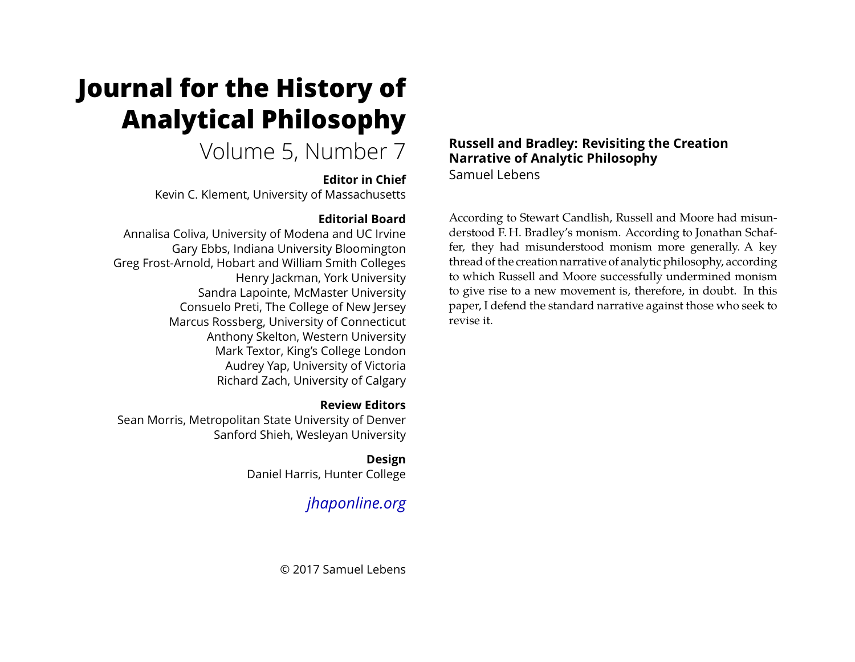# <span id="page-0-0"></span>**Journal for the History of Analytical Philosophy**

# Volume 5, Number 7

### **Editor in Chief**

Kevin C. Klement, University of Massachusetts

# **Editorial Board**

Annalisa Coliva, University of Modena and UC Irvine Gary Ebbs, Indiana University Bloomington Greg Frost-Arnold, Hobart and William Smith Colleges Henry Jackman, York University Sandra Lapointe, McMaster University Consuelo Preti, The College of New Jersey Marcus Rossberg, University of Connecticut Anthony Skelton, Western University Mark Textor, King's College London Audrey Yap, University of Victoria Richard Zach, University of Calgary

# **Review Editors**

Sean Morris, Metropolitan State University of Denver Sanford Shieh, Wesleyan University

> **Design** Daniel Harris, Hunter College

# *[jhaponline.org](https://jhaponline.org)*

© 2017 Samuel Lebens

### **Russell and Bradley: Revisiting the Creation Narrative of Analytic Philosophy** Samuel Lebens

According to Stewart Candlish, Russell and Moore had misunderstood F. H. Bradley's monism. According to Jonathan Schaffer, they had misunderstood monism more generally. A key thread of the creation narrative of analytic philosophy, according to which Russell and Moore successfully undermined monism to give rise to a new movement is, therefore, in doubt. In this paper, I defend the standard narrative against those who seek to revise it.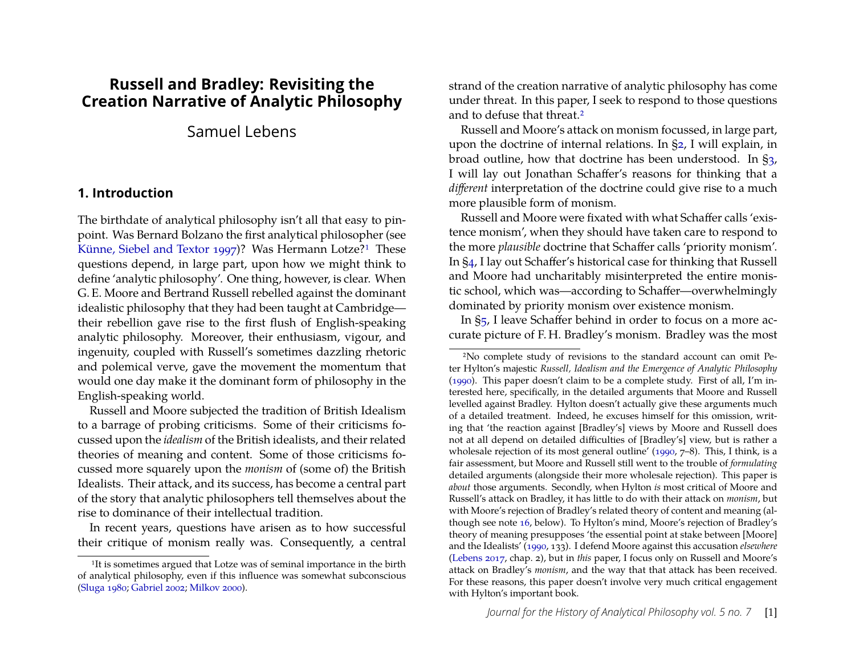# **Russell and Bradley: Revisiting the Creation Narrative of Analytic Philosophy**

# Samuel Lebens

#### **1. Introduction**

The birthdate of analytical philosophy isn't all that easy to pinpoint. Was Bernard Bolzano the first analytical philosopher (see [Künne, Siebel and Textor 1997\)](#page-20-0)? Was Hermann Lotze?<sup>[1](#page-1-0)</sup> These questions depend, in large part, upon how we might think to define 'analytic philosophy'. One thing, however, is clear. When G. E. Moore and Bertrand Russell rebelled against the dominant idealistic philosophy that they had been taught at Cambridge their rebellion gave rise to the first flush of English-speaking analytic philosophy. Moreover, their enthusiasm, vigour, and ingenuity, coupled with Russell's sometimes dazzling rhetoric and polemical verve, gave the movement the momentum that would one day make it the dominant form of philosophy in the English-speaking world.

Russell and Moore subjected the tradition of British Idealism to a barrage of probing criticisms. Some of their criticisms focussed upon the *idealism* of the British idealists, and their related theories of meaning and content. Some of those criticisms focussed more squarely upon the *monism* of (some of) the British Idealists. Their attack, and its success, has become a central part of the story that analytic philosophers tell themselves about the rise to dominance of their intellectual tradition.

In recent years, questions have arisen as to how successful their critique of monism really was. Consequently, a central

strand of the creation narrative of analytic philosophy has come under threat. In this paper, I seek to respond to those questions and to defuse that threat.[2](#page-1-1)

Russell and Moore's attack on monism focussed, in large part, upon the doctrine of internal relations. In [§2,](#page-2-0) I will explain, in broad outline, how that doctrine has been understood. In [§3,](#page-4-0) I will lay out Jonathan Schaffer's reasons for thinking that a *different* interpretation of the doctrine could give rise to a much more plausible form of monism.

Russell and Moore were fixated with what Schaffer calls 'existence monism', when they should have taken care to respond to the more *plausible* doctrine that Schaffer calls 'priority monism'. In [§4,](#page-6-0) I lay out Schaffer's historical case for thinking that Russell and Moore had uncharitably misinterpreted the entire monistic school, which was—according to Schaffer—overwhelmingly dominated by priority monism over existence monism.

In [§5,](#page-6-1) I leave Schaffer behind in order to focus on a more accurate picture of F. H. Bradley's monism. Bradley was the most

<span id="page-1-0"></span><sup>&</sup>lt;sup>1</sup>It is sometimes argued that Lotze was of seminal importance in the birth of analytical philosophy, even if this influence was somewhat subconscious [\(Sluga 1980;](#page-20-1) [Gabriel 2002;](#page-20-2) [Milkov 2000\)](#page-20-3).

<span id="page-1-1"></span><sup>2</sup>No complete study of revisions to the standard account can omit Peter Hylton's majestic *Russell, Idealism and the Emergence of Analytic Philosophy* [\(1990\)](#page-20-4). This paper doesn't claim to be a complete study. First of all, I'm interested here, specifically, in the detailed arguments that Moore and Russell levelled against Bradley. Hylton doesn't actually give these arguments much of a detailed treatment. Indeed, he excuses himself for this omission, writing that 'the reaction against [Bradley's] views by Moore and Russell does not at all depend on detailed difficulties of [Bradley's] view, but is rather a wholesale rejection of its most general outline' [\(1990,](#page-20-4) 7–8). This, I think, is a fair assessment, but Moore and Russell still went to the trouble of *formulating* detailed arguments (alongside their more wholesale rejection). This paper is *about* those arguments. Secondly, when Hylton *is* most critical of Moore and Russell's attack on Bradley, it has little to do with their attack on *monism*, but with Moore's rejection of Bradley's related theory of content and meaning (although see note [16,](#page-11-0) below). To Hylton's mind, Moore's rejection of Bradley's theory of meaning presupposes 'the essential point at stake between [Moore] and the Idealists' [\(1990,](#page-20-4) 133). I defend Moore against this accusation *elsewhere* [\(Lebens 2017,](#page-20-5) chap. 2), but in *this* paper, I focus only on Russell and Moore's attack on Bradley's *monism*, and the way that that attack has been received. For these reasons, this paper doesn't involve very much critical engagement with Hylton's important book.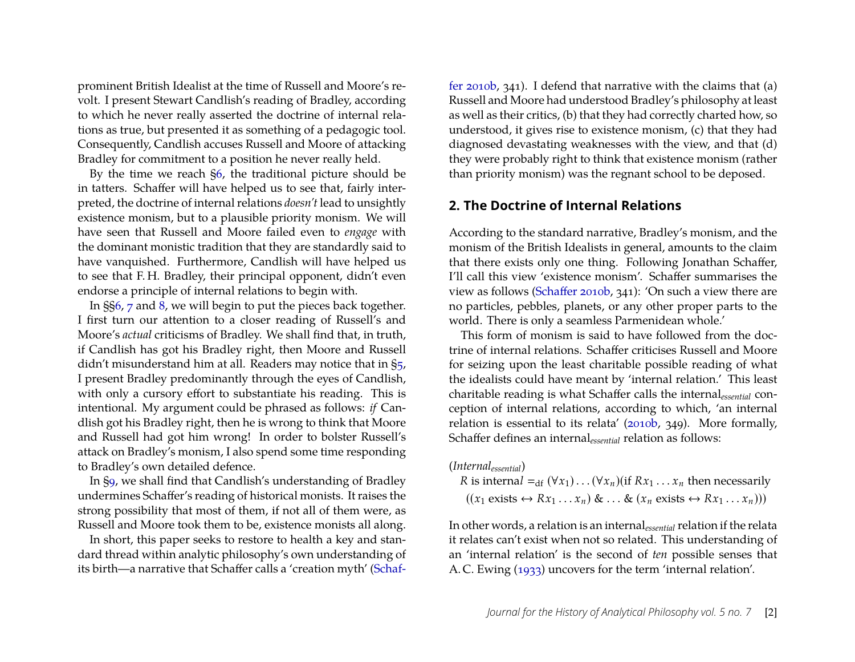prominent British Idealist at the time of Russell and Moore's revolt. I present Stewart Candlish's reading of Bradley, according to which he never really asserted the doctrine of internal relations as true, but presented it as something of a pedagogic tool. Consequently, Candlish accuses Russell and Moore of attacking Bradley for commitment to a position he never really held.

By the time we reach [§6,](#page-10-0) the traditional picture should be in tatters. Schaffer will have helped us to see that, fairly interpreted, the doctrine of internal relations *doesn't* lead to unsightly existence monism, but to a plausible priority monism. We will have seen that Russell and Moore failed even to *engage* with the dominant monistic tradition that they are standardly said to have vanquished. Furthermore, Candlish will have helped us to see that F. H. Bradley, their principal opponent, didn't even endorse a principle of internal relations to begin with.

In §[§6,](#page-10-0) [7](#page-12-0) and [8,](#page-15-0) we will begin to put the pieces back together. I first turn our attention to a closer reading of Russell's and Moore's *actual* criticisms of Bradley. We shall find that, in truth, if Candlish has got his Bradley right, then Moore and Russell didn't misunderstand him at all. Readers may notice that in  $\S_5$ , I present Bradley predominantly through the eyes of Candlish, with only a cursory effort to substantiate his reading. This is intentional. My argument could be phrased as follows: *if* Candlish got his Bradley right, then he is wrong to think that Moore and Russell had got him wrong! In order to bolster Russell's attack on Bradley's monism, I also spend some time responding to Bradley's own detailed defence.

In [§9,](#page-17-0) we shall find that Candlish's understanding of Bradley undermines Schaffer's reading of historical monists. It raises the strong possibility that most of them, if not all of them were, as Russell and Moore took them to be, existence monists all along.

In short, this paper seeks to restore to health a key and standard thread within analytic philosophy's own understanding of its birth—a narrative that Schaffer calls a 'creation myth' [\(Schaf-](#page-20-6) [fer 2010b,](#page-20-6) 341). I defend that narrative with the claims that (a) Russell and Moore had understood Bradley's philosophy at least as well as their critics, (b) that they had correctly charted how, so understood, it gives rise to existence monism, (c) that they had diagnosed devastating weaknesses with the view, and that (d) they were probably right to think that existence monism (rather than priority monism) was the regnant school to be deposed.

#### <span id="page-2-0"></span>**2. The Doctrine of Internal Relations**

According to the standard narrative, Bradley's monism, and the monism of the British Idealists in general, amounts to the claim that there exists only one thing. Following Jonathan Schaffer, I'll call this view 'existence monism'. Schaffer summarises the view as follows [\(Schaffer 2010b,](#page-20-6) 341): 'On such a view there are no particles, pebbles, planets, or any other proper parts to the world. There is only a seamless Parmenidean whole.'

This form of monism is said to have followed from the doctrine of internal relations. Schaffer criticises Russell and Moore for seizing upon the least charitable possible reading of what the idealists could have meant by 'internal relation.' This least charitable reading is what Schaffer calls the internal*essential* conception of internal relations, according to which, 'an internal relation is essential to its relata' [\(2010b,](#page-20-6) 349). More formally, Schaffer defines an internal*essential* relation as follows:

(*Internalessential*) *R* is internal  $=$ <sub>*df*</sub> ( $\forall$ *x*<sub>1</sub>) . . . ( $\forall$ *x*<sub>*n*</sub>)(if *Rx*<sub>1</sub> . . . *x<sub>n</sub>* then necessarily  $((x_1 \text{ exists} \leftrightarrow Rx_1 \dots x_n) \& \dots \& (x_n \text{ exists} \leftrightarrow Rx_1 \dots x_n)))$ 

In other words, a relation is an internal*essential* relation if the relata it relates can't exist when not so related. This understanding of an 'internal relation' is the second of *ten* possible senses that A. C. Ewing [\(1933\)](#page-20-7) uncovers for the term 'internal relation'.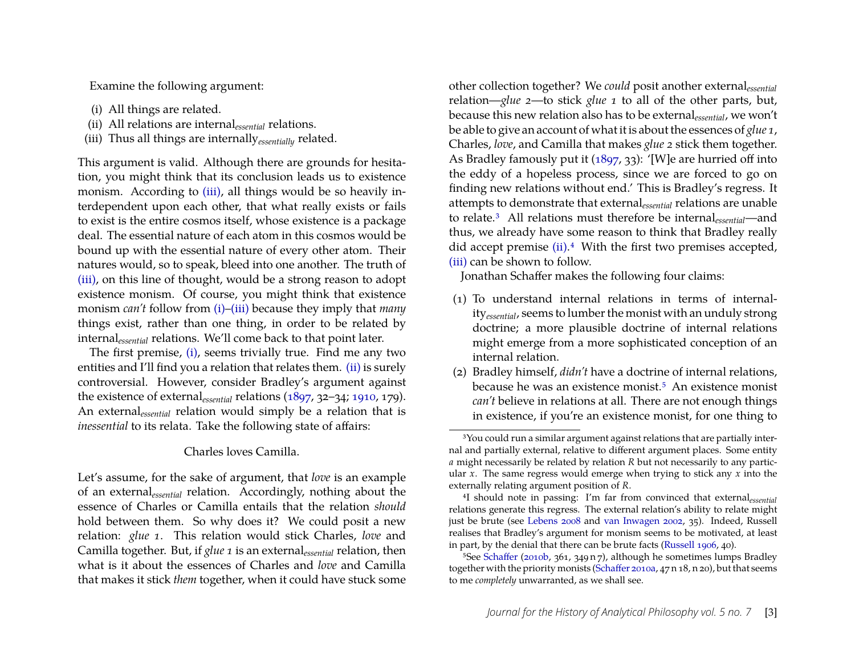Examine the following argument:

- <span id="page-3-1"></span>(i) All things are related.
- <span id="page-3-2"></span>(ii) All relations are internal*essential* relations.
- <span id="page-3-0"></span>(iii) Thus all things are internally*essentially* related.

This argument is valid. Although there are grounds for hesitation, you might think that its conclusion leads us to existence monism. According to [\(iii\),](#page-3-0) all things would be so heavily interdependent upon each other, that what really exists or fails to exist is the entire cosmos itself, whose existence is a package deal. The essential nature of each atom in this cosmos would be bound up with the essential nature of every other atom. Their natures would, so to speak, bleed into one another. The truth of [\(iii\),](#page-3-0) on this line of thought, would be a strong reason to adopt existence monism. Of course, you might think that existence monism *can't* follow from [\(i\)–](#page-3-1)[\(iii\)](#page-3-0) because they imply that *many* things exist, rather than one thing, in order to be related by internal*essential* relations. We'll come back to that point later.

The first premise, [\(i\),](#page-3-1) seems trivially true. Find me any two entities and I'll find you a relation that relates them. [\(ii\)](#page-3-2) is surely controversial. However, consider Bradley's argument against the existence of external*essential* relations [\(1897,](#page-19-0) 32–34; [1910,](#page-19-1) 179). An external*essential* relation would simply be a relation that is *inessential* to its relata. Take the following state of affairs:

#### Charles loves Camilla.

Let's assume, for the sake of argument, that *love* is an example of an external*essential* relation. Accordingly, nothing about the essence of Charles or Camilla entails that the relation *should* hold between them. So why does it? We could posit a new relation: *glue 1*. This relation would stick Charles, *love* and Camilla together. But, if *glue 1* is an external*essential* relation, then what is it about the essences of Charles and *love* and Camilla that makes it stick *them* together, when it could have stuck some other collection together? We *could* posit another external*essential* relation—*glue 2*—to stick *glue 1* to all of the other parts, but, because this new relation also has to be external*essential*, we won't be able to give an account of what it is about the essences of *glue 1*, Charles, *love*, and Camilla that makes *glue 2* stick them together. As Bradley famously put it [\(1897,](#page-19-0) 33): '[W]e are hurried off into the eddy of a hopeless process, since we are forced to go on finding new relations without end.' This is Bradley's regress. It attempts to demonstrate that external*essential* relations are unable to relate.[3](#page-3-3) All relations must therefore be internal*essential*—and thus, we already have some reason to think that Bradley really did accept premise [\(ii\).](#page-3-2)<sup>[4](#page-3-4)</sup> With the first two premises accepted, [\(iii\)](#page-3-0) can be shown to follow.

Jonathan Schaffer makes the following four claims:

- (1) To understand internal relations in terms of internality*essential*, seems to lumber the monist with an unduly strong doctrine; a more plausible doctrine of internal relations might emerge from a more sophisticated conception of an internal relation.
- (2) Bradley himself, *didn't* have a doctrine of internal relations, because he was an existence monist.<sup>[5](#page-3-5)</sup> An existence monist *can't* believe in relations at all. There are not enough things in existence, if you're an existence monist, for one thing to

<span id="page-3-3"></span><sup>&</sup>lt;sup>3</sup>You could run a similar argument against relations that are partially internal and partially external, relative to different argument places. Some entity *a* might necessarily be related by relation *R* but not necessarily to any particular *x*. The same regress would emerge when trying to stick any *x* into the externally relating argument position of *R*.

<span id="page-3-4"></span><sup>4</sup>I should note in passing: I'm far from convinced that external*essential* relations generate this regress. The external relation's ability to relate might just be brute (see [Lebens 2008](#page-20-8) and [van Inwagen 2002,](#page-20-9) 35). Indeed, Russell realises that Bradley's argument for monism seems to be motivated, at least in part, by the denial that there can be brute facts [\(Russell 1906,](#page-20-10) 40).

<span id="page-3-5"></span><sup>5</sup>See [Schaffer](#page-20-6) [\(2010b,](#page-20-6) 361, 349 n 7), although he sometimes lumps Bradley together with the priority monists [\(Schaffer 2010a,](#page-20-11) 47 n 18, n 20), but that seems to me *completely* unwarranted, as we shall see.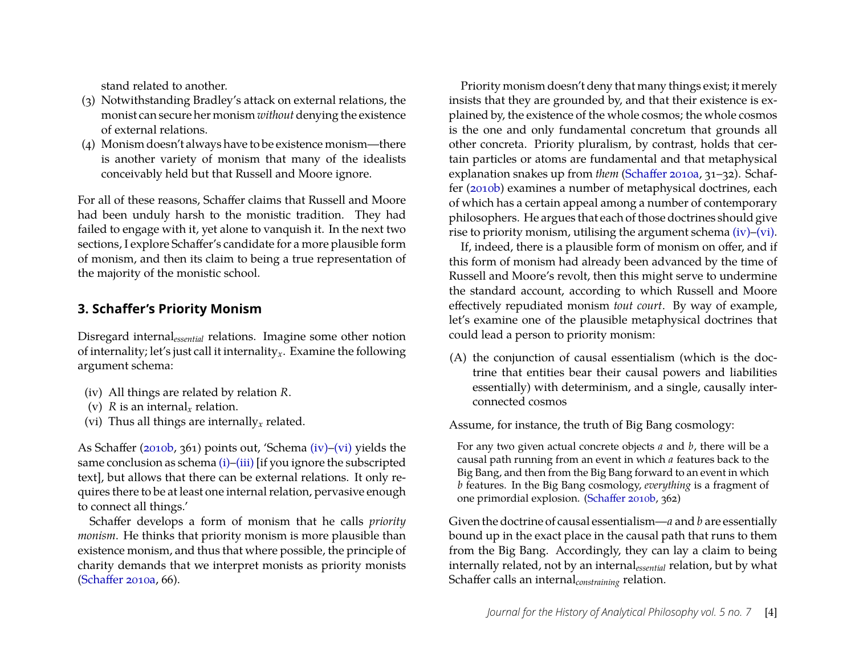stand related to another.

- (3) Notwithstanding Bradley's attack on external relations, the monist can secure her monism *without* denying the existence of external relations.
- (4) Monism doesn't always have to be existence monism—there is another variety of monism that many of the idealists conceivably held but that Russell and Moore ignore.

For all of these reasons, Schaffer claims that Russell and Moore had been unduly harsh to the monistic tradition. They had failed to engage with it, yet alone to vanquish it. In the next two sections, I explore Schaffer's candidate for a more plausible form of monism, and then its claim to being a true representation of the majority of the monistic school.

## <span id="page-4-0"></span>**3. Schaffer's Priority Monism**

Disregard internal*essential* relations. Imagine some other notion of internality; let's just call it internality*x*. Examine the following argument schema:

- <span id="page-4-1"></span>(iv) All things are related by relation *R*.
- <span id="page-4-4"></span>(v)  $R$  is an internal<sub>r</sub> relation.
- <span id="page-4-2"></span>(vi) Thus all things are internally*<sup>x</sup>* related.

As Schaffer [\(2010b,](#page-20-6) 361) points out, 'Schema [\(iv\)](#page-4-1)[–\(vi\)](#page-4-2) yields the same conclusion as schema [\(i\)–](#page-3-1)[\(iii\)](#page-3-0) [if you ignore the subscripted text], but allows that there can be external relations. It only requires there to be at least one internal relation, pervasive enough to connect all things.'

Schaffer develops a form of monism that he calls *priority monism*. He thinks that priority monism is more plausible than existence monism, and thus that where possible, the principle of charity demands that we interpret monists as priority monists [\(Schaffer 2010a,](#page-20-11) 66).

Priority monism doesn't deny that many things exist; it merely insists that they are grounded by, and that their existence is explained by, the existence of the whole cosmos; the whole cosmos is the one and only fundamental concretum that grounds all other concreta. Priority pluralism, by contrast, holds that certain particles or atoms are fundamental and that metaphysical explanation snakes up from *them* [\(Schaffer 2010a,](#page-20-11) 31–32). Schaffer [\(2010b\)](#page-20-6) examines a number of metaphysical doctrines, each of which has a certain appeal among a number of contemporary philosophers. He argues that each of those doctrines should give rise to priority monism, utilising the argument schema [\(iv\)–](#page-4-1)[\(vi\).](#page-4-2)

If, indeed, there is a plausible form of monism on offer, and if this form of monism had already been advanced by the time of Russell and Moore's revolt, then this might serve to undermine the standard account, according to which Russell and Moore effectively repudiated monism *tout court*. By way of example, let's examine one of the plausible metaphysical doctrines that could lead a person to priority monism:

<span id="page-4-3"></span>(A) the conjunction of causal essentialism (which is the doctrine that entities bear their causal powers and liabilities essentially) with determinism, and a single, causally interconnected cosmos

Assume, for instance, the truth of Big Bang cosmology:

For any two given actual concrete objects *a* and *b*, there will be a causal path running from an event in which *a* features back to the Big Bang, and then from the Big Bang forward to an event in which *b* features. In the Big Bang cosmology, *everything* is a fragment of one primordial explosion. [\(Schaffer 2010b,](#page-20-6) 362)

Given the doctrine of causal essentialism—*a* and *b* are essentially bound up in the exact place in the causal path that runs to them from the Big Bang. Accordingly, they can lay a claim to being internally related, not by an internal*essential* relation, but by what Schaffer calls an internal*constraining* relation.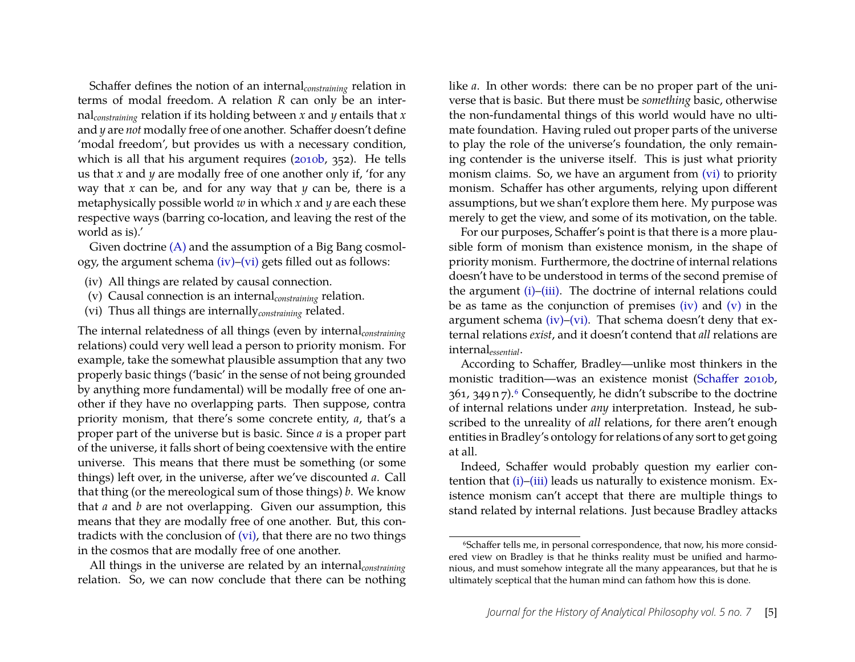Schaffer defines the notion of an internal*constraining* relation in terms of modal freedom. A relation *R* can only be an internal*constraining* relation if its holding between *x* and *y* entails that *x* and *y* are *not* modally free of one another. Schaffer doesn't define 'modal freedom', but provides us with a necessary condition, which is all that his argument requires [\(2010b,](#page-20-6) 352). He tells us that *x* and *y* are modally free of one another only if, 'for any way that *x* can be, and for any way that *y* can be, there is a metaphysically possible world *w* in which *x* and *y* are each these respective ways (barring co-location, and leaving the rest of the world as is).'

Given doctrine [\(A\)](#page-4-3) and the assumption of a Big Bang cosmology, the argument schema [\(iv\)–](#page-4-1)[\(vi\)](#page-4-2) gets filled out as follows:

- (iv) All things are related by causal connection.
- (v) Causal connection is an internal*constraining* relation.
- <span id="page-5-0"></span>(vi) Thus all things are internally*constraining* related.

The internal relatedness of all things (even by internal*constraining* relations) could very well lead a person to priority monism. For example, take the somewhat plausible assumption that any two properly basic things ('basic' in the sense of not being grounded by anything more fundamental) will be modally free of one another if they have no overlapping parts. Then suppose, contra priority monism, that there's some concrete entity, *a*, that's a proper part of the universe but is basic. Since *a* is a proper part of the universe, it falls short of being coextensive with the entire universe. This means that there must be something (or some things) left over, in the universe, after we've discounted *a*. Call that thing (or the mereological sum of those things) *b*. We know that *a* and *b* are not overlapping. Given our assumption, this means that they are modally free of one another. But, this contradicts with the conclusion of [\(vi\),](#page-5-0) that there are no two things in the cosmos that are modally free of one another.

All things in the universe are related by an internal*constraining* relation. So, we can now conclude that there can be nothing

like *a*. In other words: there can be no proper part of the universe that is basic. But there must be *something* basic, otherwise the non-fundamental things of this world would have no ultimate foundation. Having ruled out proper parts of the universe to play the role of the universe's foundation, the only remaining contender is the universe itself. This is just what priority monism claims. So, we have an argument from [\(vi\)](#page-5-0) to priority monism. Schaffer has other arguments, relying upon different assumptions, but we shan't explore them here. My purpose was merely to get the view, and some of its motivation, on the table.

For our purposes, Schaffer's point is that there is a more plausible form of monism than existence monism, in the shape of priority monism. Furthermore, the doctrine of internal relations doesn't have to be understood in terms of the second premise of the argument [\(i\)](#page-3-1)[–\(iii\).](#page-3-0) The doctrine of internal relations could be as tame as the conjunction of premises  $(iv)$  and  $(v)$  in the argument schema [\(iv\)](#page-4-1)[–\(vi\).](#page-4-2) That schema doesn't deny that external relations *exist*, and it doesn't contend that *all* relations are internal*essential*.

According to Schaffer, Bradley—unlike most thinkers in the monistic tradition—was an existence monist [\(Schaffer 2010b,](#page-20-6) 361, 349 n 7).[6](#page-5-1) Consequently, he didn't subscribe to the doctrine of internal relations under *any* interpretation. Instead, he subscribed to the unreality of *all* relations, for there aren't enough entities in Bradley's ontology for relations of any sort to get going at all.

Indeed, Schaffer would probably question my earlier con-tention that [\(i\)](#page-3-1)[–\(iii\)](#page-3-0) leads us naturally to existence monism. Existence monism can't accept that there are multiple things to stand related by internal relations. Just because Bradley attacks

<span id="page-5-1"></span><sup>&</sup>lt;sup>6</sup>Schaffer tells me, in personal correspondence, that now, his more considered view on Bradley is that he thinks reality must be unified and harmonious, and must somehow integrate all the many appearances, but that he is ultimately sceptical that the human mind can fathom how this is done.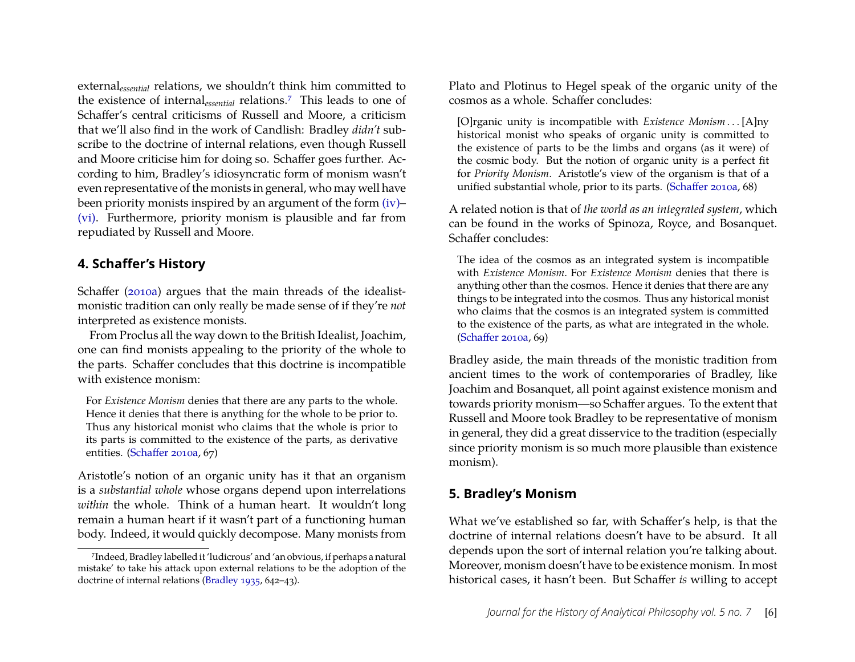external*essential* relations, we shouldn't think him committed to the existence of internal*essential* relations.[7](#page-6-2) This leads to one of Schaffer's central criticisms of Russell and Moore, a criticism that we'll also find in the work of Candlish: Bradley *didn't* subscribe to the doctrine of internal relations, even though Russell and Moore criticise him for doing so. Schaffer goes further. According to him, Bradley's idiosyncratic form of monism wasn't even representative of the monists in general, who may well have been priority monists inspired by an argument of the form [\(iv\)–](#page-4-1) [\(vi\).](#page-4-2) Furthermore, priority monism is plausible and far from repudiated by Russell and Moore.

#### <span id="page-6-0"></span>**4. Schaffer's History**

Schaffer [\(2010a\)](#page-20-11) argues that the main threads of the idealistmonistic tradition can only really be made sense of if they're *not* interpreted as existence monists.

From Proclus all the way down to the British Idealist, Joachim, one can find monists appealing to the priority of the whole to the parts. Schaffer concludes that this doctrine is incompatible with existence monism:

For *Existence Monism* denies that there are any parts to the whole. Hence it denies that there is anything for the whole to be prior to. Thus any historical monist who claims that the whole is prior to its parts is committed to the existence of the parts, as derivative entities. [\(Schaffer 2010a,](#page-20-11) 67)

Aristotle's notion of an organic unity has it that an organism is a *substantial whole* whose organs depend upon interrelations *within* the whole. Think of a human heart. It wouldn't long remain a human heart if it wasn't part of a functioning human body. Indeed, it would quickly decompose. Many monists from Plato and Plotinus to Hegel speak of the organic unity of the cosmos as a whole. Schaffer concludes:

[O]rganic unity is incompatible with *Existence Monism* . . . [A]ny historical monist who speaks of organic unity is committed to the existence of parts to be the limbs and organs (as it were) of the cosmic body. But the notion of organic unity is a perfect fit for *Priority Monism*. Aristotle's view of the organism is that of a unified substantial whole, prior to its parts. [\(Schaffer 2010a,](#page-20-11) 68)

A related notion is that of *the world as an integrated system*, which can be found in the works of Spinoza, Royce, and Bosanquet. Schaffer concludes:

The idea of the cosmos as an integrated system is incompatible with *Existence Monism*. For *Existence Monism* denies that there is anything other than the cosmos. Hence it denies that there are any things to be integrated into the cosmos. Thus any historical monist who claims that the cosmos is an integrated system is committed to the existence of the parts, as what are integrated in the whole. [\(Schaffer 2010a,](#page-20-11) 69)

Bradley aside, the main threads of the monistic tradition from ancient times to the work of contemporaries of Bradley, like Joachim and Bosanquet, all point against existence monism and towards priority monism—so Schaffer argues. To the extent that Russell and Moore took Bradley to be representative of monism in general, they did a great disservice to the tradition (especially since priority monism is so much more plausible than existence monism).

# <span id="page-6-1"></span>**5. Bradley's Monism**

What we've established so far, with Schaffer's help, is that the doctrine of internal relations doesn't have to be absurd. It all depends upon the sort of internal relation you're talking about. Moreover, monism doesn't have to be existence monism. In most historical cases, it hasn't been. But Schaffer *is* willing to accept

<span id="page-6-2"></span><sup>7</sup>Indeed, Bradley labelled it 'ludicrous' and 'an obvious, if perhaps a natural mistake' to take his attack upon external relations to be the adoption of the doctrine of internal relations [\(Bradley 1935,](#page-19-2) 642–43).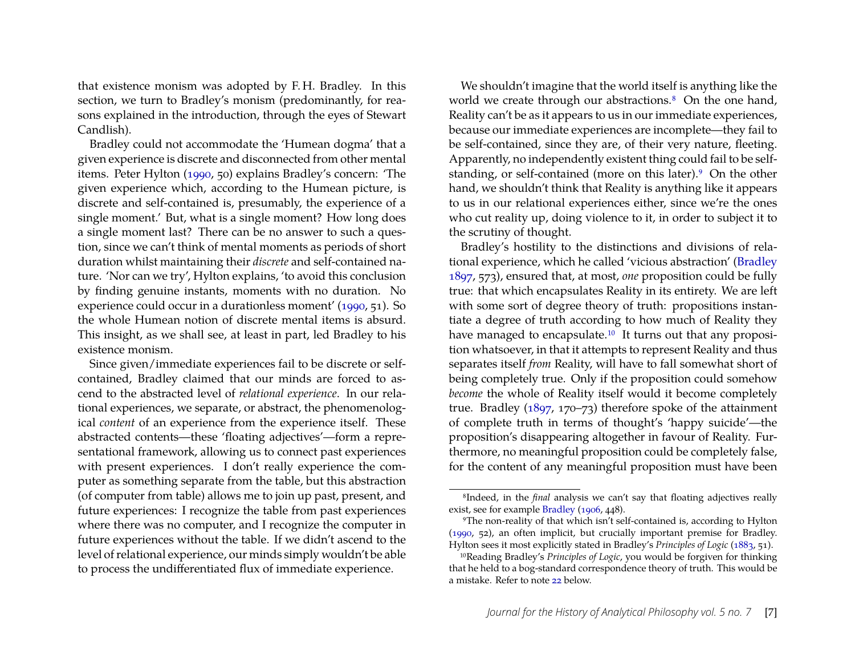that existence monism was adopted by F. H. Bradley. In this section, we turn to Bradley's monism (predominantly, for reasons explained in the introduction, through the eyes of Stewart Candlish).

Bradley could not accommodate the 'Humean dogma' that a given experience is discrete and disconnected from other mental items. Peter Hylton [\(1990,](#page-20-4) 50) explains Bradley's concern: 'The given experience which, according to the Humean picture, is discrete and self-contained is, presumably, the experience of a single moment.' But, what is a single moment? How long does a single moment last? There can be no answer to such a question, since we can't think of mental moments as periods of short duration whilst maintaining their *discrete* and self-contained nature. 'Nor can we try', Hylton explains, 'to avoid this conclusion by finding genuine instants, moments with no duration. No experience could occur in a durationless moment' [\(1990,](#page-20-4) 51). So the whole Humean notion of discrete mental items is absurd. This insight, as we shall see, at least in part, led Bradley to his existence monism.

Since given/immediate experiences fail to be discrete or selfcontained, Bradley claimed that our minds are forced to ascend to the abstracted level of *relational experience*. In our relational experiences, we separate, or abstract, the phenomenological *content* of an experience from the experience itself. These abstracted contents—these 'floating adjectives'—form a representational framework, allowing us to connect past experiences with present experiences. I don't really experience the computer as something separate from the table, but this abstraction (of computer from table) allows me to join up past, present, and future experiences: I recognize the table from past experiences where there was no computer, and I recognize the computer in future experiences without the table. If we didn't ascend to the level of relational experience, our minds simply wouldn't be able to process the undifferentiated flux of immediate experience.

We shouldn't imagine that the world itself is anything like the world we create through our abstractions.<sup>[8](#page-7-0)</sup> On the one hand, Reality can't be as it appears to us in our immediate experiences, because our immediate experiences are incomplete—they fail to be self-contained, since they are, of their very nature, fleeting. Apparently, no independently existent thing could fail to be self-standing, or self-contained (more on this later).<sup>[9](#page-7-1)</sup> On the other hand, we shouldn't think that Reality is anything like it appears to us in our relational experiences either, since we're the ones who cut reality up, doing violence to it, in order to subject it to the scrutiny of thought.

Bradley's hostility to the distinctions and divisions of relational experience, which he called 'vicious abstraction' [\(Bradley](#page-19-0) [1897,](#page-19-0) 573), ensured that, at most, *one* proposition could be fully true: that which encapsulates Reality in its entirety. We are left with some sort of degree theory of truth: propositions instantiate a degree of truth according to how much of Reality they have managed to encapsulate.<sup>[10](#page-7-2)</sup> It turns out that any proposition whatsoever, in that it attempts to represent Reality and thus separates itself *from* Reality, will have to fall somewhat short of being completely true. Only if the proposition could somehow *become* the whole of Reality itself would it become completely true. Bradley [\(1897,](#page-19-0) 170–73) therefore spoke of the attainment of complete truth in terms of thought's 'happy suicide'—the proposition's disappearing altogether in favour of Reality. Furthermore, no meaningful proposition could be completely false, for the content of any meaningful proposition must have been

<span id="page-7-0"></span><sup>8</sup>Indeed, in the *final* analysis we can't say that floating adjectives really exist, see for example [Bradley](#page-19-3) [\(1906,](#page-19-3) 448).

<span id="page-7-1"></span><sup>9</sup>The non-reality of that which isn't self-contained is, according to Hylton [\(1990,](#page-20-4) 52), an often implicit, but crucially important premise for Bradley. Hylton sees it most explicitly stated in Bradley's *Principles of Logic* [\(1883,](#page-19-4) 51).

<span id="page-7-2"></span><sup>10</sup>Reading Bradley's *Principles of Logic*, you would be forgiven for thinking that he held to a bog-standard correspondence theory of truth. This would be a mistake. Refer to note [22](#page-18-0) below.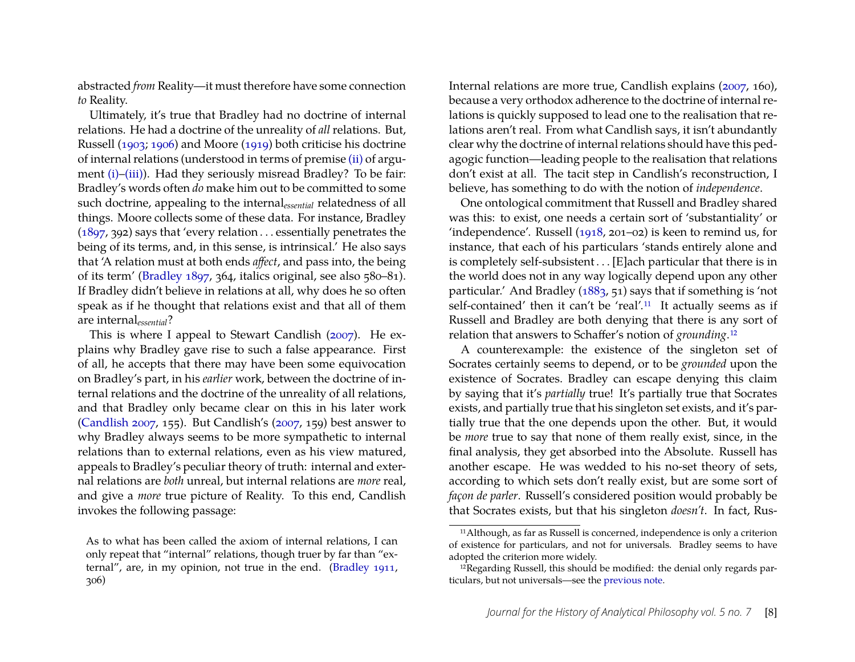abstracted *from* Reality—it must therefore have some connection *to* Reality.

Ultimately, it's true that Bradley had no doctrine of internal relations. He had a doctrine of the unreality of *all* relations. But, Russell [\(1903;](#page-20-12) [1906\)](#page-20-10) and Moore [\(1919\)](#page-20-13) both criticise his doctrine of internal relations (understood in terms of premise [\(ii\)](#page-3-2) of argu-ment [\(i\)](#page-3-1)[–\(iii\)\)](#page-3-0). Had they seriously misread Bradley? To be fair: Bradley's words often *do* make him out to be committed to some such doctrine, appealing to the internal*essential* relatedness of all things. Moore collects some of these data. For instance, Bradley [\(1897,](#page-19-0) 392) says that 'every relation . . . essentially penetrates the being of its terms, and, in this sense, is intrinsical.' He also says that 'A relation must at both ends *affect*, and pass into, the being of its term' [\(Bradley 1897,](#page-19-0) 364, italics original, see also 580–81). If Bradley didn't believe in relations at all, why does he so often speak as if he thought that relations exist and that all of them are internal*essential*?

This is where I appeal to Stewart Candlish [\(2007\)](#page-19-5). He explains why Bradley gave rise to such a false appearance. First of all, he accepts that there may have been some equivocation on Bradley's part, in his *earlier* work, between the doctrine of internal relations and the doctrine of the unreality of all relations, and that Bradley only became clear on this in his later work [\(Candlish 2007,](#page-19-5) 155). But Candlish's [\(2007,](#page-19-5) 159) best answer to why Bradley always seems to be more sympathetic to internal relations than to external relations, even as his view matured, appeals to Bradley's peculiar theory of truth: internal and external relations are *both* unreal, but internal relations are *more* real, and give a *more* true picture of Reality. To this end, Candlish invokes the following passage:

As to what has been called the axiom of internal relations, I can only repeat that "internal" relations, though truer by far than "external", are, in my opinion, not true in the end. [\(Bradley 1911,](#page-19-6) 306)

Internal relations are more true, Candlish explains [\(2007,](#page-19-5) 160), because a very orthodox adherence to the doctrine of internal relations is quickly supposed to lead one to the realisation that relations aren't real. From what Candlish says, it isn't abundantly clear why the doctrine of internal relations should have this pedagogic function—leading people to the realisation that relations don't exist at all. The tacit step in Candlish's reconstruction, I believe, has something to do with the notion of *independence*.

One ontological commitment that Russell and Bradley shared was this: to exist, one needs a certain sort of 'substantiality' or 'independence'. Russell [\(1918,](#page-20-14) 201–02) is keen to remind us, for instance, that each of his particulars 'stands entirely alone and is completely self-subsistent . . . [E]ach particular that there is in the world does not in any way logically depend upon any other particular.' And Bradley [\(1883,](#page-19-4) 51) says that if something is 'not self-contained' then it can't be 'real'.<sup>[11](#page-8-0)</sup> It actually seems as if Russell and Bradley are both denying that there is any sort of relation that answers to Schaffer's notion of *grounding*.[12](#page-8-1)

A counterexample: the existence of the singleton set of Socrates certainly seems to depend, or to be *grounded* upon the existence of Socrates. Bradley can escape denying this claim by saying that it's *partially* true! It's partially true that Socrates exists, and partially true that his singleton set exists, and it's partially true that the one depends upon the other. But, it would be *more* true to say that none of them really exist, since, in the final analysis, they get absorbed into the Absolute. Russell has another escape. He was wedded to his no-set theory of sets, according to which sets don't really exist, but are some sort of *façon de parler*. Russell's considered position would probably be that Socrates exists, but that his singleton *doesn't*. In fact, Rus-

<span id="page-8-0"></span><sup>11</sup>Although, as far as Russell is concerned, independence is only a criterion of existence for particulars, and not for universals. Bradley seems to have adopted the criterion more widely.

<span id="page-8-1"></span><sup>&</sup>lt;sup>12</sup>Regarding Russell, this should be modified: the denial only regards particulars, but not universals—see the [previous note.](#page-0-0)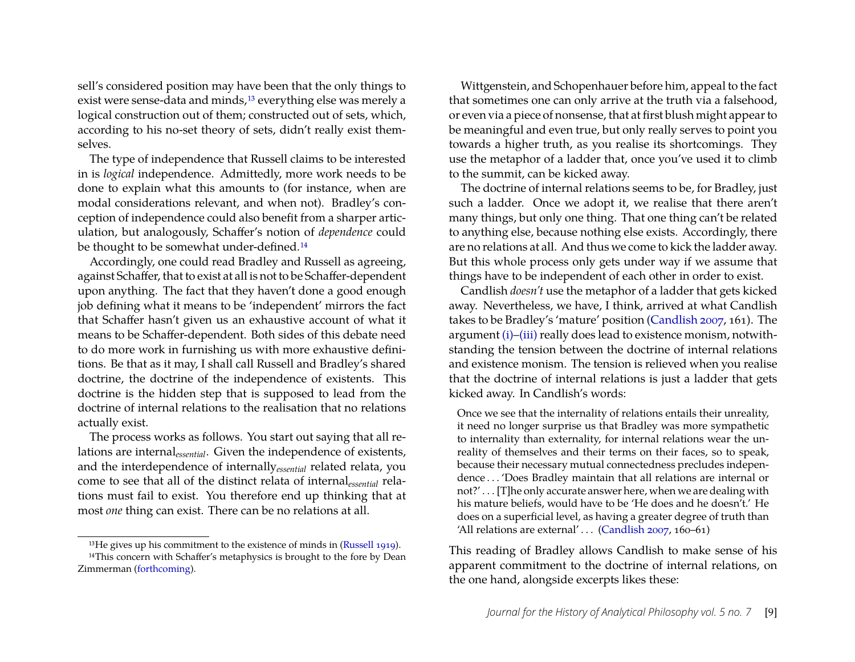sell's considered position may have been that the only things to exist were sense-data and minds,<sup>[13](#page-9-0)</sup> everything else was merely a logical construction out of them; constructed out of sets, which, according to his no-set theory of sets, didn't really exist themselves.

The type of independence that Russell claims to be interested in is *logical* independence. Admittedly, more work needs to be done to explain what this amounts to (for instance, when are modal considerations relevant, and when not). Bradley's conception of independence could also benefit from a sharper articulation, but analogously, Schaffer's notion of *dependence* could be thought to be somewhat under-defined.<sup>[14](#page-9-1)</sup>

Accordingly, one could read Bradley and Russell as agreeing, against Schaffer, that to exist at all is not to be Schaffer-dependent upon anything. The fact that they haven't done a good enough job defining what it means to be 'independent' mirrors the fact that Schaffer hasn't given us an exhaustive account of what it means to be Schaffer-dependent. Both sides of this debate need to do more work in furnishing us with more exhaustive definitions. Be that as it may, I shall call Russell and Bradley's shared doctrine, the doctrine of the independence of existents. This doctrine is the hidden step that is supposed to lead from the doctrine of internal relations to the realisation that no relations actually exist.

The process works as follows. You start out saying that all relations are internal*essential*. Given the independence of existents, and the interdependence of internally*essential* related relata, you come to see that all of the distinct relata of internal*essential* relations must fail to exist. You therefore end up thinking that at most *one* thing can exist. There can be no relations at all.

Wittgenstein, and Schopenhauer before him, appeal to the fact that sometimes one can only arrive at the truth via a falsehood, or even via a piece of nonsense, that at first blush might appear to be meaningful and even true, but only really serves to point you towards a higher truth, as you realise its shortcomings. They use the metaphor of a ladder that, once you've used it to climb to the summit, can be kicked away.

The doctrine of internal relations seems to be, for Bradley, just such a ladder. Once we adopt it, we realise that there aren't many things, but only one thing. That one thing can't be related to anything else, because nothing else exists. Accordingly, there are no relations at all. And thus we come to kick the ladder away. But this whole process only gets under way if we assume that things have to be independent of each other in order to exist.

Candlish *doesn't* use the metaphor of a ladder that gets kicked away. Nevertheless, we have, I think, arrived at what Candlish takes to be Bradley's 'mature' position [\(Candlish 2007,](#page-19-5) 161). The argument [\(i\)–](#page-3-1)[\(iii\)](#page-3-0) really does lead to existence monism, notwithstanding the tension between the doctrine of internal relations and existence monism. The tension is relieved when you realise that the doctrine of internal relations is just a ladder that gets kicked away. In Candlish's words:

Once we see that the internality of relations entails their unreality, it need no longer surprise us that Bradley was more sympathetic to internality than externality, for internal relations wear the unreality of themselves and their terms on their faces, so to speak, because their necessary mutual connectedness precludes independence . . . 'Does Bradley maintain that all relations are internal or not?' . . . [T]he only accurate answer here, when we are dealing with his mature beliefs, would have to be 'He does and he doesn't.' He does on a superficial level, as having a greater degree of truth than 'All relations are external' . . . [\(Candlish 2007,](#page-19-5) 160–61)

This reading of Bradley allows Candlish to make sense of his apparent commitment to the doctrine of internal relations, on the one hand, alongside excerpts likes these:

<span id="page-9-1"></span><span id="page-9-0"></span><sup>&</sup>lt;sup>13</sup>He gives up his commitment to the existence of minds in [\(Russell 1919\)](#page-20-15). <sup>14</sup>This concern with Schaffer's metaphysics is brought to the fore by Dean Zimmerman [\(forthcoming\)](#page-20-16).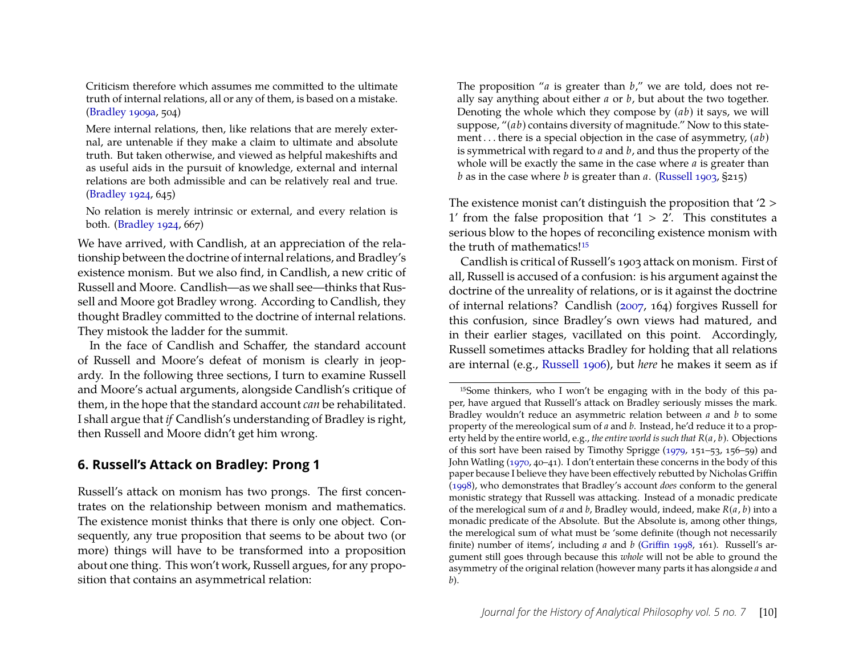Criticism therefore which assumes me committed to the ultimate truth of internal relations, all or any of them, is based on a mistake. [\(Bradley 1909a,](#page-19-7) 504)

Mere internal relations, then, like relations that are merely external, are untenable if they make a claim to ultimate and absolute truth. But taken otherwise, and viewed as helpful makeshifts and as useful aids in the pursuit of knowledge, external and internal relations are both admissible and can be relatively real and true. [\(Bradley 1924,](#page-19-8) 645)

No relation is merely intrinsic or external, and every relation is both. [\(Bradley 1924,](#page-19-8) 667)

We have arrived, with Candlish, at an appreciation of the relationship between the doctrine of internal relations, and Bradley's existence monism. But we also find, in Candlish, a new critic of Russell and Moore. Candlish—as we shall see—thinks that Russell and Moore got Bradley wrong. According to Candlish, they thought Bradley committed to the doctrine of internal relations. They mistook the ladder for the summit.

In the face of Candlish and Schaffer, the standard account of Russell and Moore's defeat of monism is clearly in jeopardy. In the following three sections, I turn to examine Russell and Moore's actual arguments, alongside Candlish's critique of them, in the hope that the standard account *can* be rehabilitated. I shall argue that *if* Candlish's understanding of Bradley is right, then Russell and Moore didn't get him wrong.

#### <span id="page-10-0"></span>**6. Russell's Attack on Bradley: Prong 1**

Russell's attack on monism has two prongs. The first concentrates on the relationship between monism and mathematics. The existence monist thinks that there is only one object. Consequently, any true proposition that seems to be about two (or more) things will have to be transformed into a proposition about one thing. This won't work, Russell argues, for any proposition that contains an asymmetrical relation:

The proposition "*a* is greater than *b*," we are told, does not really say anything about either *a* or *b*, but about the two together. Denoting the whole which they compose by (*ab*) it says, we will suppose, "(*ab*) contains diversity of magnitude." Now to this statement . . . there is a special objection in the case of asymmetry, (*ab*) is symmetrical with regard to *a* and *b*, and thus the property of the whole will be exactly the same in the case where *a* is greater than *b* as in the case where *b* is greater than *a*. [\(Russell 1903,](#page-20-12) §215)

The existence monist can't distinguish the proposition that '2 > 1' from the false proposition that ' $1 > 2'$ . This constitutes a serious blow to the hopes of reconciling existence monism with the truth of mathematics!<sup>[15](#page-10-1)</sup>

Candlish is critical of Russell's 1903 attack on monism. First of all, Russell is accused of a confusion: is his argument against the doctrine of the unreality of relations, or is it against the doctrine of internal relations? Candlish [\(2007,](#page-19-5) 164) forgives Russell for this confusion, since Bradley's own views had matured, and in their earlier stages, vacillated on this point. Accordingly, Russell sometimes attacks Bradley for holding that all relations are internal (e.g., [Russell 1906\)](#page-20-10), but *here* he makes it seem as if

<span id="page-10-1"></span><sup>15</sup>Some thinkers, who I won't be engaging with in the body of this paper, have argued that Russell's attack on Bradley seriously misses the mark. Bradley wouldn't reduce an asymmetric relation between *a* and *b* to some property of the mereological sum of *a* and *b*. Instead, he'd reduce it to a property held by the entire world, e.g., *the entire world is such that R*(*a*, *b*). Objections of this sort have been raised by Timothy Sprigge [\(1979,](#page-20-17) 151–53, 156–59) and John Watling [\(1970,](#page-20-18) 40–41). I don't entertain these concerns in the body of this paper because I believe they have been effectively rebutted by Nicholas Griffin [\(1998\)](#page-20-19), who demonstrates that Bradley's account *does* conform to the general monistic strategy that Russell was attacking. Instead of a monadic predicate of the merelogical sum of *a* and *b*, Bradley would, indeed, make *R*(*a*, *b*) into a monadic predicate of the Absolute. But the Absolute is, among other things, the merelogical sum of what must be 'some definite (though not necessarily finite) number of items', including *a* and *b* [\(Griffin 1998,](#page-20-19) 161). Russell's argument still goes through because this *whole* will not be able to ground the asymmetry of the original relation (however many parts it has alongside *a* and *b*).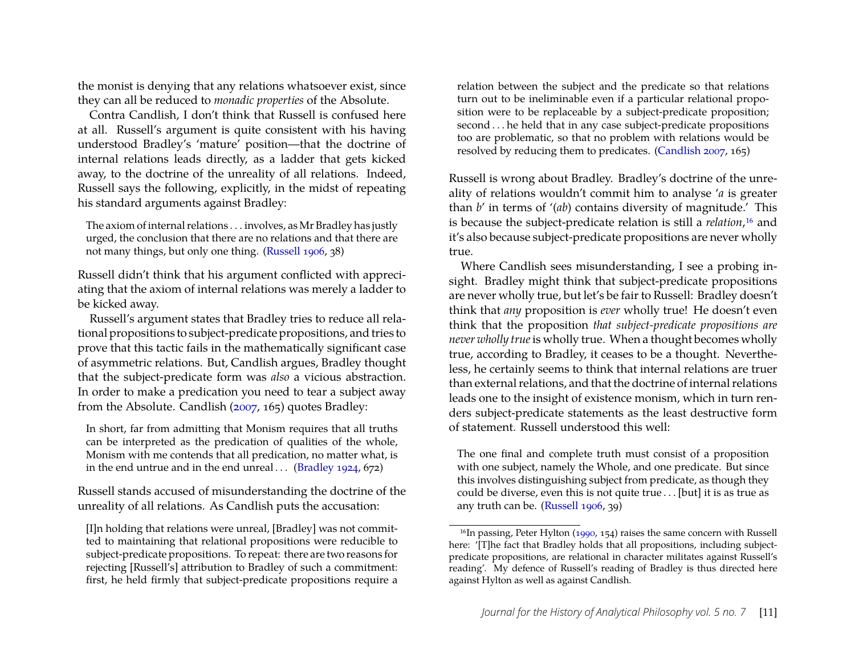the monist is denying that any relations whatsoever exist, since they can all be reduced to *monadic properties* of the Absolute.

Contra Candlish, I don't think that Russell is confused here at all. Russell's argument is quite consistent with his having understood Bradley's 'mature' position—that the doctrine of internal relations leads directly, as a ladder that gets kicked away, to the doctrine of the unreality of all relations. Indeed, Russell says the following, explicitly, in the midst of repeating his standard arguments against Bradley:

The axiom of internal relations . . . involves, as Mr Bradley has justly urged, the conclusion that there are no relations and that there are not many things, but only one thing. [\(Russell 1906,](#page-20-10) 38)

Russell didn't think that his argument conflicted with appreciating that the axiom of internal relations was merely a ladder to be kicked away.

Russell's argument states that Bradley tries to reduce all relational propositions to subject-predicate propositions, and tries to prove that this tactic fails in the mathematically significant case of asymmetric relations. But, Candlish argues, Bradley thought that the subject-predicate form was *also* a vicious abstraction. In order to make a predication you need to tear a subject away from the Absolute. Candlish [\(2007,](#page-19-5) 165) quotes Bradley:

In short, far from admitting that Monism requires that all truths can be interpreted as the predication of qualities of the whole, Monism with me contends that all predication, no matter what, is in the end untrue and in the end unreal... [\(Bradley 1924,](#page-19-8)  $672$ )

Russell stands accused of misunderstanding the doctrine of the unreality of all relations. As Candlish puts the accusation:

[I]n holding that relations were unreal, [Bradley] was not committed to maintaining that relational propositions were reducible to subject-predicate propositions. To repeat: there are two reasons for rejecting [Russell's] attribution to Bradley of such a commitment: first, he held firmly that subject-predicate propositions require a relation between the subject and the predicate so that relations turn out to be ineliminable even if a particular relational proposition were to be replaceable by a subject-predicate proposition; second . . . he held that in any case subject-predicate propositions too are problematic, so that no problem with relations would be resolved by reducing them to predicates. [\(Candlish 2007,](#page-19-5) 165)

Russell is wrong about Bradley. Bradley's doctrine of the unreality of relations wouldn't commit him to analyse '*a* is greater than *b*' in terms of '(*ab*) contains diversity of magnitude.' This is because the subject-predicate relation is still a *relation*,[16](#page-11-0) and it's also because subject-predicate propositions are never wholly true.

Where Candlish sees misunderstanding, I see a probing insight. Bradley might think that subject-predicate propositions are never wholly true, but let's be fair to Russell: Bradley doesn't think that *any* proposition is *ever* wholly true! He doesn't even think that the proposition *that subject-predicate propositions are never wholly true*is wholly true. When a thought becomes wholly true, according to Bradley, it ceases to be a thought. Nevertheless, he certainly seems to think that internal relations are truer than external relations, and that the doctrine of internal relations leads one to the insight of existence monism, which in turn renders subject-predicate statements as the least destructive form of statement. Russell understood this well:

The one final and complete truth must consist of a proposition with one subject, namely the Whole, and one predicate. But since this involves distinguishing subject from predicate, as though they could be diverse, even this is not quite true . . . [but] it is as true as any truth can be. [\(Russell 1906,](#page-20-10) 39)

<span id="page-11-0"></span><sup>&</sup>lt;sup>16</sup>In passing, Peter Hylton [\(1990,](#page-20-4) 154) raises the same concern with Russell here: '[T]he fact that Bradley holds that all propositions, including subjectpredicate propositions, are relational in character militates against Russell's reading'. My defence of Russell's reading of Bradley is thus directed here against Hylton as well as against Candlish.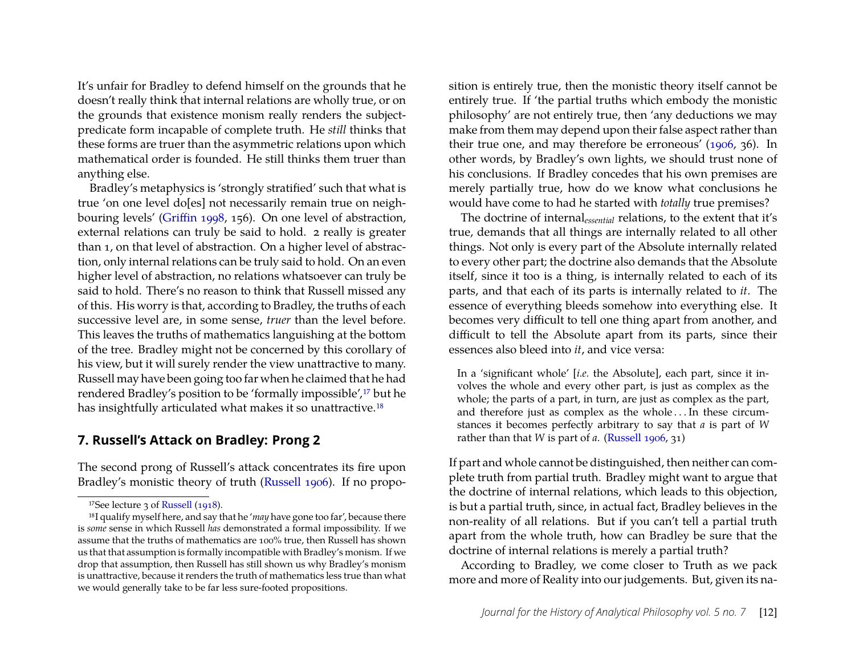It's unfair for Bradley to defend himself on the grounds that he doesn't really think that internal relations are wholly true, or on the grounds that existence monism really renders the subjectpredicate form incapable of complete truth. He *still* thinks that these forms are truer than the asymmetric relations upon which mathematical order is founded. He still thinks them truer than anything else.

Bradley's metaphysics is 'strongly stratified' such that what is true 'on one level do[es] not necessarily remain true on neighbouring levels' [\(Griffin 1998,](#page-20-19) 156). On one level of abstraction, external relations can truly be said to hold. 2 really is greater than 1, on that level of abstraction. On a higher level of abstraction, only internal relations can be truly said to hold. On an even higher level of abstraction, no relations whatsoever can truly be said to hold. There's no reason to think that Russell missed any of this. His worry is that, according to Bradley, the truths of each successive level are, in some sense, *truer* than the level before. This leaves the truths of mathematics languishing at the bottom of the tree. Bradley might not be concerned by this corollary of his view, but it will surely render the view unattractive to many. Russell may have been going too far when he claimed that he had rendered Bradley's position to be 'formally impossible',<sup>[17](#page-12-1)</sup> but he has insightfully articulated what makes it so unattractive.<sup>[18](#page-12-2)</sup>

#### <span id="page-12-0"></span>**7. Russell's Attack on Bradley: Prong 2**

The second prong of Russell's attack concentrates its fire upon Bradley's monistic theory of truth [\(Russell 1906\)](#page-20-10). If no propo-

sition is entirely true, then the monistic theory itself cannot be entirely true. If 'the partial truths which embody the monistic philosophy' are not entirely true, then 'any deductions we may make from them may depend upon their false aspect rather than their true one, and may therefore be erroneous' [\(1906,](#page-20-10) 36). In other words, by Bradley's own lights, we should trust none of his conclusions. If Bradley concedes that his own premises are merely partially true, how do we know what conclusions he would have come to had he started with *totally* true premises?

The doctrine of internal*essential* relations, to the extent that it's true, demands that all things are internally related to all other things. Not only is every part of the Absolute internally related to every other part; the doctrine also demands that the Absolute itself, since it too is a thing, is internally related to each of its parts, and that each of its parts is internally related to *it*. The essence of everything bleeds somehow into everything else. It becomes very difficult to tell one thing apart from another, and difficult to tell the Absolute apart from its parts, since their essences also bleed into *it*, and vice versa:

In a 'significant whole' [*i.e.* the Absolute], each part, since it involves the whole and every other part, is just as complex as the whole; the parts of a part, in turn, are just as complex as the part, and therefore just as complex as the whole . . . In these circumstances it becomes perfectly arbitrary to say that *a* is part of *W* rather than that *W* is part of *a*. [\(Russell 1906,](#page-20-10) 31)

If part and whole cannot be distinguished, then neither can complete truth from partial truth. Bradley might want to argue that the doctrine of internal relations, which leads to this objection, is but a partial truth, since, in actual fact, Bradley believes in the non-reality of all relations. But if you can't tell a partial truth apart from the whole truth, how can Bradley be sure that the doctrine of internal relations is merely a partial truth?

According to Bradley, we come closer to Truth as we pack more and more of Reality into our judgements. But, given its na-

<span id="page-12-2"></span><span id="page-12-1"></span><sup>&</sup>lt;sup>17</sup>See lecture 3 of [Russell](#page-20-14) [\(1918\)](#page-20-14).

<sup>18</sup>I qualify myself here, and say that he '*may* have gone too far', because there is *some* sense in which Russell *has* demonstrated a formal impossibility. If we assume that the truths of mathematics are 100% true, then Russell has shown us that that assumption is formally incompatible with Bradley's monism. If we drop that assumption, then Russell has still shown us why Bradley's monism is unattractive, because it renders the truth of mathematics less true than what we would generally take to be far less sure-footed propositions.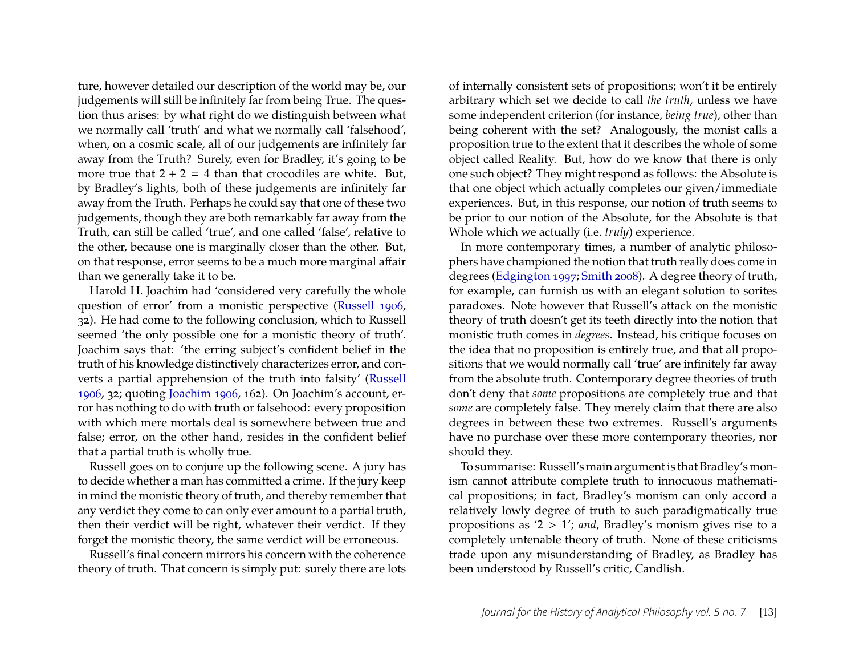ture, however detailed our description of the world may be, our judgements will still be infinitely far from being True. The question thus arises: by what right do we distinguish between what we normally call 'truth' and what we normally call 'falsehood', when, on a cosmic scale, all of our judgements are infinitely far away from the Truth? Surely, even for Bradley, it's going to be more true that  $2 + 2 = 4$  than that crocodiles are white. But, by Bradley's lights, both of these judgements are infinitely far away from the Truth. Perhaps he could say that one of these two judgements, though they are both remarkably far away from the Truth, can still be called 'true', and one called 'false', relative to the other, because one is marginally closer than the other. But, on that response, error seems to be a much more marginal affair than we generally take it to be.

Harold H. Joachim had 'considered very carefully the whole question of error' from a monistic perspective [\(Russell 1906,](#page-20-10) 32). He had come to the following conclusion, which to Russell seemed 'the only possible one for a monistic theory of truth'. Joachim says that: 'the erring subject's confident belief in the truth of his knowledge distinctively characterizes error, and converts a partial apprehension of the truth into falsity' [\(Russell](#page-20-10) [1906,](#page-20-10) 32; quoting [Joachim 1906,](#page-20-20) 162). On Joachim's account, error has nothing to do with truth or falsehood: every proposition with which mere mortals deal is somewhere between true and false; error, on the other hand, resides in the confident belief that a partial truth is wholly true.

Russell goes on to conjure up the following scene. A jury has to decide whether a man has committed a crime. If the jury keep in mind the monistic theory of truth, and thereby remember that any verdict they come to can only ever amount to a partial truth, then their verdict will be right, whatever their verdict. If they forget the monistic theory, the same verdict will be erroneous.

Russell's final concern mirrors his concern with the coherence theory of truth. That concern is simply put: surely there are lots of internally consistent sets of propositions; won't it be entirely arbitrary which set we decide to call *the truth*, unless we have some independent criterion (for instance, *being true*), other than being coherent with the set? Analogously, the monist calls a proposition true to the extent that it describes the whole of some object called Reality. But, how do we know that there is only one such object? They might respond as follows: the Absolute is that one object which actually completes our given/immediate experiences. But, in this response, our notion of truth seems to be prior to our notion of the Absolute, for the Absolute is that Whole which we actually (i.e. *truly*) experience.

In more contemporary times, a number of analytic philosophers have championed the notion that truth really does come in degrees [\(Edgington 1997;](#page-20-21) [Smith 2008\)](#page-20-22). A degree theory of truth, for example, can furnish us with an elegant solution to sorites paradoxes. Note however that Russell's attack on the monistic theory of truth doesn't get its teeth directly into the notion that monistic truth comes in *degrees*. Instead, his critique focuses on the idea that no proposition is entirely true, and that all propositions that we would normally call 'true' are infinitely far away from the absolute truth. Contemporary degree theories of truth don't deny that *some* propositions are completely true and that *some* are completely false. They merely claim that there are also degrees in between these two extremes. Russell's arguments have no purchase over these more contemporary theories, nor should they.

To summarise: Russell's main argument is that Bradley's monism cannot attribute complete truth to innocuous mathematical propositions; in fact, Bradley's monism can only accord a relatively lowly degree of truth to such paradigmatically true propositions as '2 > 1'; *and*, Bradley's monism gives rise to a completely untenable theory of truth. None of these criticisms trade upon any misunderstanding of Bradley, as Bradley has been understood by Russell's critic, Candlish.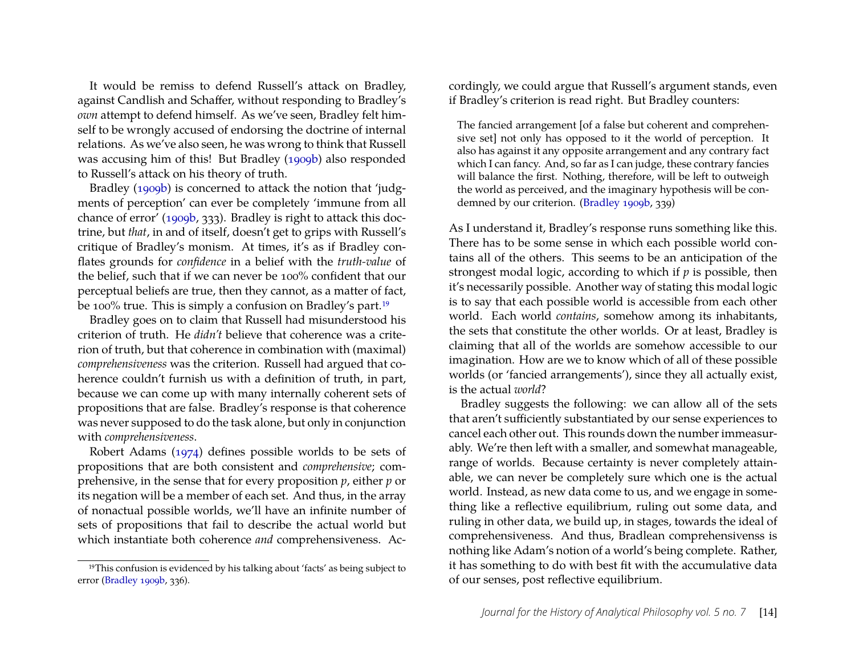It would be remiss to defend Russell's attack on Bradley, against Candlish and Schaffer, without responding to Bradley's *own* attempt to defend himself. As we've seen, Bradley felt himself to be wrongly accused of endorsing the doctrine of internal relations. As we've also seen, he was wrong to think that Russell was accusing him of this! But Bradley [\(1909b\)](#page-19-9) also responded to Russell's attack on his theory of truth.

Bradley [\(1909b\)](#page-19-9) is concerned to attack the notion that 'judgments of perception' can ever be completely 'immune from all chance of error' [\(1909b,](#page-19-9) 333). Bradley is right to attack this doctrine, but *that*, in and of itself, doesn't get to grips with Russell's critique of Bradley's monism. At times, it's as if Bradley conflates grounds for *confidence* in a belief with the *truth-value* of the belief, such that if we can never be 100% confident that our perceptual beliefs are true, then they cannot, as a matter of fact, be 100% true. This is simply a confusion on Bradley's part.<sup>[19](#page-14-0)</sup>

Bradley goes on to claim that Russell had misunderstood his criterion of truth. He *didn't* believe that coherence was a criterion of truth, but that coherence in combination with (maximal) *comprehensiveness* was the criterion. Russell had argued that coherence couldn't furnish us with a definition of truth, in part, because we can come up with many internally coherent sets of propositions that are false. Bradley's response is that coherence was never supposed to do the task alone, but only in conjunction with *comprehensiveness*.

Robert Adams [\(1974\)](#page-19-10) defines possible worlds to be sets of propositions that are both consistent and *comprehensive*; comprehensive, in the sense that for every proposition *p*, either *p* or its negation will be a member of each set. And thus, in the array of nonactual possible worlds, we'll have an infinite number of sets of propositions that fail to describe the actual world but which instantiate both coherence *and* comprehensiveness. Accordingly, we could argue that Russell's argument stands, even if Bradley's criterion is read right. But Bradley counters:

The fancied arrangement [of a false but coherent and comprehensive set] not only has opposed to it the world of perception. It also has against it any opposite arrangement and any contrary fact which I can fancy. And, so far as I can judge, these contrary fancies will balance the first. Nothing, therefore, will be left to outweigh the world as perceived, and the imaginary hypothesis will be condemned by our criterion. [\(Bradley 1909b,](#page-19-9) 339)

As I understand it, Bradley's response runs something like this. There has to be some sense in which each possible world contains all of the others. This seems to be an anticipation of the strongest modal logic, according to which if *p* is possible, then it's necessarily possible. Another way of stating this modal logic is to say that each possible world is accessible from each other world. Each world *contains*, somehow among its inhabitants, the sets that constitute the other worlds. Or at least, Bradley is claiming that all of the worlds are somehow accessible to our imagination. How are we to know which of all of these possible worlds (or 'fancied arrangements'), since they all actually exist, is the actual *world*?

Bradley suggests the following: we can allow all of the sets that aren't sufficiently substantiated by our sense experiences to cancel each other out. This rounds down the number immeasurably. We're then left with a smaller, and somewhat manageable, range of worlds. Because certainty is never completely attainable, we can never be completely sure which one is the actual world. Instead, as new data come to us, and we engage in something like a reflective equilibrium, ruling out some data, and ruling in other data, we build up, in stages, towards the ideal of comprehensiveness. And thus, Bradlean comprehensivenss is nothing like Adam's notion of a world's being complete. Rather, it has something to do with best fit with the accumulative data of our senses, post reflective equilibrium.

<span id="page-14-0"></span><sup>19</sup>This confusion is evidenced by his talking about 'facts' as being subject to error [\(Bradley 1909b,](#page-19-9) 336).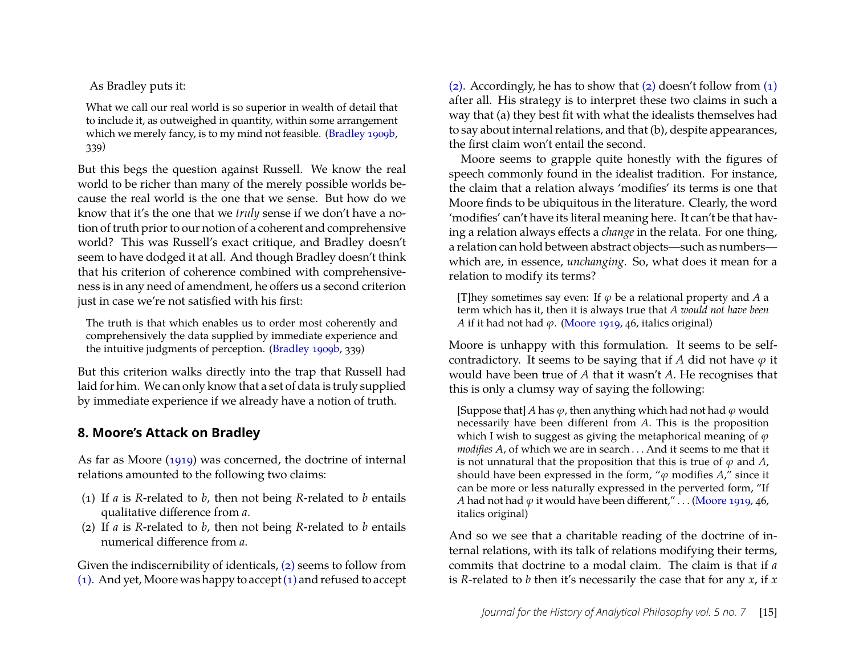As Bradley puts it:

What we call our real world is so superior in wealth of detail that to include it, as outweighed in quantity, within some arrangement which we merely fancy, is to my mind not feasible. [\(Bradley 1909b,](#page-19-9) 339)

But this begs the question against Russell. We know the real world to be richer than many of the merely possible worlds because the real world is the one that we sense. But how do we know that it's the one that we *truly* sense if we don't have a notion of truth prior to our notion of a coherent and comprehensive world? This was Russell's exact critique, and Bradley doesn't seem to have dodged it at all. And though Bradley doesn't think that his criterion of coherence combined with comprehensiveness is in any need of amendment, he offers us a second criterion just in case we're not satisfied with his first:

The truth is that which enables us to order most coherently and comprehensively the data supplied by immediate experience and the intuitive judgments of perception. [\(Bradley 1909b,](#page-19-9) 339)

But this criterion walks directly into the trap that Russell had laid for him. We can only know that a set of data is truly supplied by immediate experience if we already have a notion of truth.

### <span id="page-15-0"></span>**8. Moore's Attack on Bradley**

As far as Moore [\(1919\)](#page-20-13) was concerned, the doctrine of internal relations amounted to the following two claims:

- <span id="page-15-2"></span>(1) If *a* is *R*-related to *b*, then not being *R*-related to *b* entails qualitative difference from *a*.
- <span id="page-15-1"></span>(2) If *a* is *R*-related to *b*, then not being *R*-related to *b* entails numerical difference from *a*.

Given the indiscernibility of identicals, [\(2\)](#page-15-1) seems to follow from [\(1\).](#page-15-2) And yet, Moore was happy to accept[\(1\)](#page-15-2) and refused to accept [\(2\).](#page-15-1) Accordingly, he has to show that [\(2\)](#page-15-1) doesn't follow from [\(1\)](#page-15-2) after all. His strategy is to interpret these two claims in such a way that (a) they best fit with what the idealists themselves had to say about internal relations, and that (b), despite appearances, the first claim won't entail the second.

Moore seems to grapple quite honestly with the figures of speech commonly found in the idealist tradition. For instance, the claim that a relation always 'modifies' its terms is one that Moore finds to be ubiquitous in the literature. Clearly, the word 'modifies' can't have its literal meaning here. It can't be that having a relation always effects a *change* in the relata. For one thing, a relation can hold between abstract objects—such as numbers which are, in essence, *unchanging*. So, what does it mean for a relation to modify its terms?

[T] hey sometimes say even: If  $\varphi$  be a relational property and A a term which has it, then it is always true that *A would not have been A* if it had not had  $\varphi$ . [\(Moore 1919,](#page-20-13) 46, italics original)

Moore is unhappy with this formulation. It seems to be selfcontradictory. It seems to be saying that if *A* did not have  $\varphi$  it would have been true of *A* that it wasn't *A*. He recognises that this is only a clumsy way of saying the following:

[Suppose that] *A* has  $\varphi$ , then anything which had not had  $\varphi$  would necessarily have been different from *A*. This is the proposition which I wish to suggest as giving the metaphorical meaning of  $\varphi$ *modifies A*, of which we are in search . . . And it seems to me that it is not unnatural that the proposition that this is true of  $\varphi$  and  $A$ , should have been expressed in the form, " $\varphi$  modifies  $A$ ," since it can be more or less naturally expressed in the perverted form, "If *A* had not had  $\varphi$  it would have been different,"... [\(Moore 1919,](#page-20-13) 46, italics original)

And so we see that a charitable reading of the doctrine of internal relations, with its talk of relations modifying their terms, commits that doctrine to a modal claim. The claim is that if *a* is *R*-related to *b* then it's necessarily the case that for any *x*, if *x*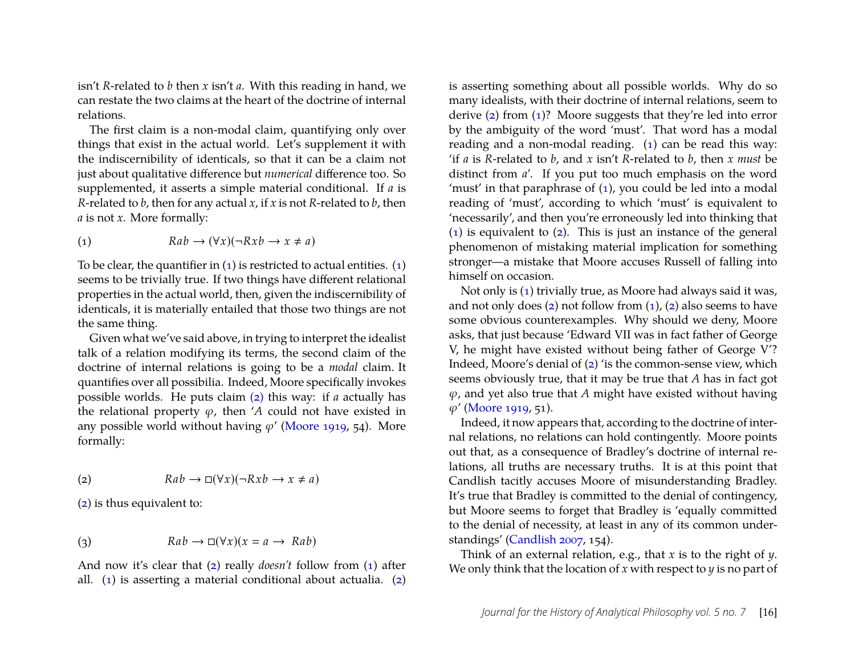isn't *R*-related to *b* then *x* isn't *a*. With this reading in hand, we can restate the two claims at the heart of the doctrine of internal relations.

The first claim is a non-modal claim, quantifying only over things that exist in the actual world. Let's supplement it with the indiscernibility of identicals, so that it can be a claim not just about qualitative difference but *numerical* difference too. So supplemented, it asserts a simple material conditional. If *a* is *R*-related to *b*, then for any actual *x*, if *x* is not *R*-related to *b*, then *a* is not *x*. More formally:

<span id="page-16-0"></span>
$$
(1) \t\t Ra b \to (\forall x)(\neg Rxb \to x \neq a)
$$

To be clear, the quantifier in  $(1)$  is restricted to actual entities.  $(1)$ seems to be trivially true. If two things have different relational properties in the actual world, then, given the indiscernibility of identicals, it is materially entailed that those two things are not the same thing.

Given what we've said above, in trying to interpret the idealist talk of a relation modifying its terms, the second claim of the doctrine of internal relations is going to be a *modal* claim. It quantifies over all possibilia. Indeed, Moore specifically invokes possible worlds. He puts claim [\(2\)](#page-15-1) this way: if *a* actually has the relational property  $\varphi$ , then '*A* could not have existed in any possible world without having  $\varphi'$  [\(Moore 1919,](#page-20-13) 54). More formally:

<span id="page-16-1"></span>
$$
(2) \t\t Ra b \to \Box(\forall x)(\neg Rxb \to x \neq a)
$$

[\(2\)](#page-16-1) is thus equivalent to:

(3) 
$$
Rab \to \Box(\forall x)(x = a \to Rab)
$$

And now it's clear that [\(2\)](#page-16-1) really *doesn't* follow from [\(1\)](#page-16-0) after all. [\(1\)](#page-16-0) is asserting a material conditional about actualia. [\(2\)](#page-16-1) is asserting something about all possible worlds. Why do so many idealists, with their doctrine of internal relations, seem to derive [\(2\)](#page-16-1) from [\(1\)](#page-16-0)? Moore suggests that they're led into error by the ambiguity of the word 'must'. That word has a modal reading and a non-modal reading. [\(1\)](#page-16-0) can be read this way: 'if *a* is *R*-related to *b*, and *x* isn't *R*-related to *b*, then *x must* be distinct from *a*'. If you put too much emphasis on the word 'must' in that paraphrase of [\(1\)](#page-16-0), you could be led into a modal reading of 'must', according to which 'must' is equivalent to 'necessarily', and then you're erroneously led into thinking that [\(1\)](#page-16-0) is equivalent to [\(2\)](#page-16-1). This is just an instance of the general phenomenon of mistaking material implication for something stronger—a mistake that Moore accuses Russell of falling into himself on occasion.

Not only is [\(1\)](#page-16-0) trivially true, as Moore had always said it was, and not only does  $(2)$  not follow from  $(1)$ ,  $(2)$  also seems to have some obvious counterexamples. Why should we deny, Moore asks, that just because 'Edward VII was in fact father of George V, he might have existed without being father of George V'? Indeed, Moore's denial of [\(2\)](#page-16-1) 'is the common-sense view, which seems obviously true, that it may be true that *A* has in fact got  $\varphi$ , and yet also true that *A* might have existed without having  $\varphi'$  [\(Moore 1919,](#page-20-13) 51).

Indeed, it now appears that, according to the doctrine of internal relations, no relations can hold contingently. Moore points out that, as a consequence of Bradley's doctrine of internal relations, all truths are necessary truths. It is at this point that Candlish tacitly accuses Moore of misunderstanding Bradley. It's true that Bradley is committed to the denial of contingency, but Moore seems to forget that Bradley is 'equally committed to the denial of necessity, at least in any of its common understandings' [\(Candlish 2007,](#page-19-5) 154).

Think of an external relation, e.g., that *x* is to the right of *y*. We only think that the location of *x* with respect to *y* is no part of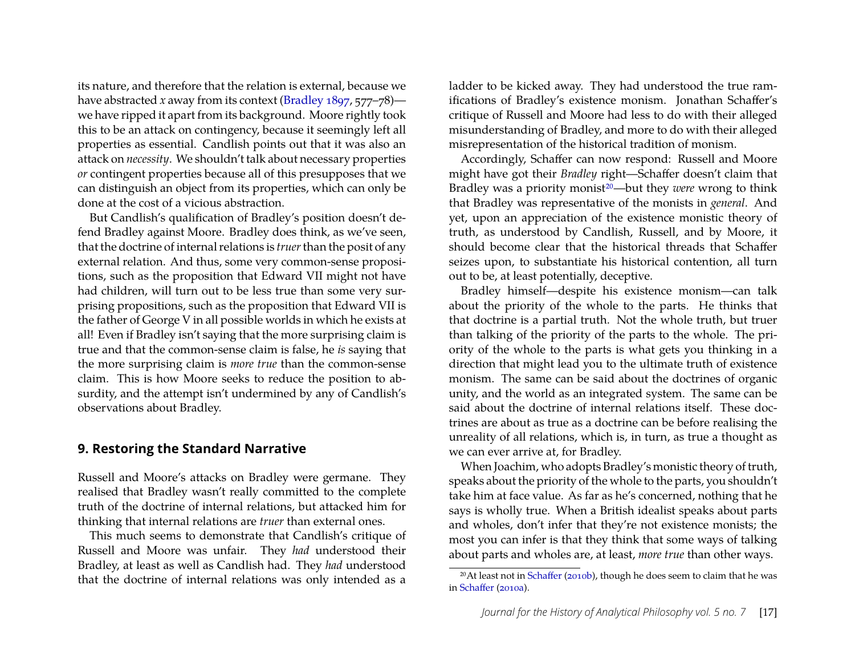its nature, and therefore that the relation is external, because we have abstracted *x* away from its context [\(Bradley 1897,](#page-19-0) 577–78) we have ripped it apart from its background. Moore rightly took this to be an attack on contingency, because it seemingly left all properties as essential. Candlish points out that it was also an attack on *necessity*. We shouldn't talk about necessary properties *or* contingent properties because all of this presupposes that we can distinguish an object from its properties, which can only be done at the cost of a vicious abstraction.

But Candlish's qualification of Bradley's position doesn't defend Bradley against Moore. Bradley does think, as we've seen, that the doctrine of internal relations is *truer*than the posit of any external relation. And thus, some very common-sense propositions, such as the proposition that Edward VII might not have had children, will turn out to be less true than some very surprising propositions, such as the proposition that Edward VII is the father of George V in all possible worlds in which he exists at all! Even if Bradley isn't saying that the more surprising claim is true and that the common-sense claim is false, he *is* saying that the more surprising claim is *more true* than the common-sense claim. This is how Moore seeks to reduce the position to absurdity, and the attempt isn't undermined by any of Candlish's observations about Bradley.

#### <span id="page-17-0"></span>**9. Restoring the Standard Narrative**

Russell and Moore's attacks on Bradley were germane. They realised that Bradley wasn't really committed to the complete truth of the doctrine of internal relations, but attacked him for thinking that internal relations are *truer* than external ones.

This much seems to demonstrate that Candlish's critique of Russell and Moore was unfair. They *had* understood their Bradley, at least as well as Candlish had. They *had* understood that the doctrine of internal relations was only intended as a ladder to be kicked away. They had understood the true ramifications of Bradley's existence monism. Jonathan Schaffer's critique of Russell and Moore had less to do with their alleged misunderstanding of Bradley, and more to do with their alleged misrepresentation of the historical tradition of monism.

Accordingly, Schaffer can now respond: Russell and Moore might have got their *Bradley* right—Schaffer doesn't claim that Bradley was a priority monist<sup>[20](#page-17-1)</sup>—but they *were* wrong to think that Bradley was representative of the monists in *general*. And yet, upon an appreciation of the existence monistic theory of truth, as understood by Candlish, Russell, and by Moore, it should become clear that the historical threads that Schaffer seizes upon, to substantiate his historical contention, all turn out to be, at least potentially, deceptive.

Bradley himself—despite his existence monism—can talk about the priority of the whole to the parts. He thinks that that doctrine is a partial truth. Not the whole truth, but truer than talking of the priority of the parts to the whole. The priority of the whole to the parts is what gets you thinking in a direction that might lead you to the ultimate truth of existence monism. The same can be said about the doctrines of organic unity, and the world as an integrated system. The same can be said about the doctrine of internal relations itself. These doctrines are about as true as a doctrine can be before realising the unreality of all relations, which is, in turn, as true a thought as we can ever arrive at, for Bradley.

When Joachim, who adopts Bradley's monistic theory of truth, speaks about the priority of the whole to the parts, you shouldn't take him at face value. As far as he's concerned, nothing that he says is wholly true. When a British idealist speaks about parts and wholes, don't infer that they're not existence monists; the most you can infer is that they think that some ways of talking about parts and wholes are, at least, *more true* than other ways.

<span id="page-17-1"></span><sup>&</sup>lt;sup>20</sup>At least not in [Schaffer](#page-20-6) [\(2010b\)](#page-20-6), though he does seem to claim that he was in [Schaffer](#page-20-11) [\(2010a\)](#page-20-11).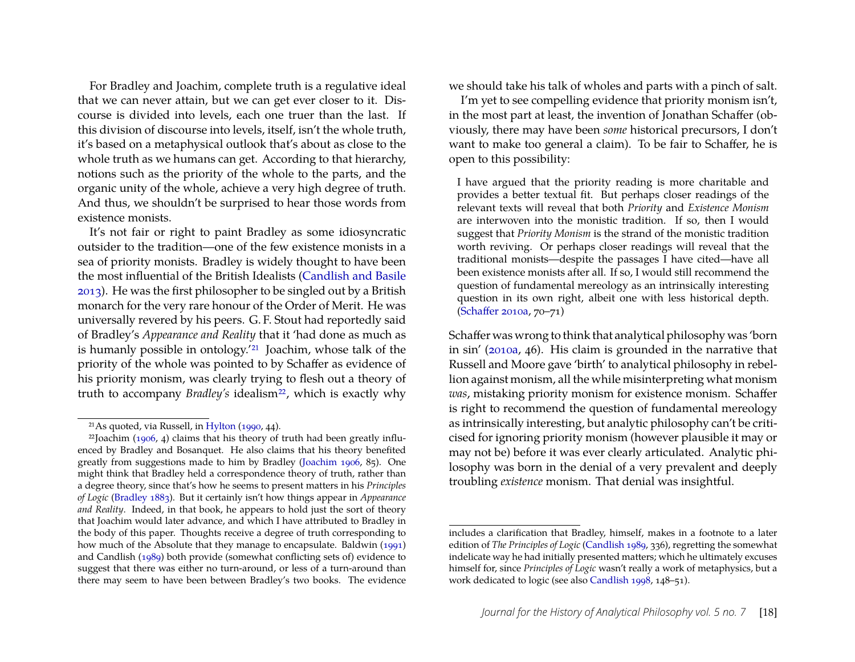For Bradley and Joachim, complete truth is a regulative ideal that we can never attain, but we can get ever closer to it. Discourse is divided into levels, each one truer than the last. If this division of discourse into levels, itself, isn't the whole truth, it's based on a metaphysical outlook that's about as close to the whole truth as we humans can get. According to that hierarchy, notions such as the priority of the whole to the parts, and the organic unity of the whole, achieve a very high degree of truth. And thus, we shouldn't be surprised to hear those words from existence monists.

It's not fair or right to paint Bradley as some idiosyncratic outsider to the tradition—one of the few existence monists in a sea of priority monists. Bradley is widely thought to have been the most influential of the British Idealists [\(Candlish and Basile](#page-19-11) [2013\)](#page-19-11). He was the first philosopher to be singled out by a British monarch for the very rare honour of the Order of Merit. He was universally revered by his peers. G. F. Stout had reportedly said of Bradley's *Appearance and Reality* that it 'had done as much as is humanly possible in ontology.'[21](#page-18-1) Joachim, whose talk of the priority of the whole was pointed to by Schaffer as evidence of his priority monism, was clearly trying to flesh out a theory of truth to accompany *Bradley's* idealism<sup>[22](#page-18-0)</sup>, which is exactly why

we should take his talk of wholes and parts with a pinch of salt.

I'm yet to see compelling evidence that priority monism isn't, in the most part at least, the invention of Jonathan Schaffer (obviously, there may have been *some* historical precursors, I don't want to make too general a claim). To be fair to Schaffer, he is open to this possibility:

I have argued that the priority reading is more charitable and provides a better textual fit. But perhaps closer readings of the relevant texts will reveal that both *Priority* and *Existence Monism* are interwoven into the monistic tradition. If so, then I would suggest that *Priority Monism* is the strand of the monistic tradition worth reviving. Or perhaps closer readings will reveal that the traditional monists—despite the passages I have cited—have all been existence monists after all. If so, I would still recommend the question of fundamental mereology as an intrinsically interesting question in its own right, albeit one with less historical depth. [\(Schaffer 2010a,](#page-20-11) 70–71)

Schaffer was wrong to think that analytical philosophy was 'born in sin' [\(2010a,](#page-20-11) 46). His claim is grounded in the narrative that Russell and Moore gave 'birth' to analytical philosophy in rebellion against monism, all the while misinterpreting what monism *was*, mistaking priority monism for existence monism. Schaffer is right to recommend the question of fundamental mereology as intrinsically interesting, but analytic philosophy can't be criticised for ignoring priority monism (however plausible it may or may not be) before it was ever clearly articulated. Analytic philosophy was born in the denial of a very prevalent and deeply troubling *existence* monism. That denial was insightful.

<span id="page-18-1"></span><span id="page-18-0"></span><sup>21</sup>As quoted, via Russell, in [Hylton](#page-20-4) [\(1990,](#page-20-4) 44).

 $22$ Joachim [\(1906,](#page-20-20) 4) claims that his theory of truth had been greatly influenced by Bradley and Bosanquet. He also claims that his theory benefited greatly from suggestions made to him by Bradley [\(Joachim 1906,](#page-20-20) 85). One might think that Bradley held a correspondence theory of truth, rather than a degree theory, since that's how he seems to present matters in his *Principles of Logic* [\(Bradley 1883\)](#page-19-4). But it certainly isn't how things appear in *Appearance and Reality*. Indeed, in that book, he appears to hold just the sort of theory that Joachim would later advance, and which I have attributed to Bradley in the body of this paper. Thoughts receive a degree of truth corresponding to how much of the Absolute that they manage to encapsulate. Baldwin [\(1991\)](#page-19-12) and Candlish [\(1989\)](#page-19-13) both provide (somewhat conflicting sets of) evidence to suggest that there was either no turn-around, or less of a turn-around than there may seem to have been between Bradley's two books. The evidence

includes a clarification that Bradley, himself, makes in a footnote to a later edition of *The Principles of Logic* [\(Candlish 1989,](#page-19-13) 336), regretting the somewhat indelicate way he had initially presented matters; which he ultimately excuses himself for, since *Principles of Logic* wasn't really a work of metaphysics, but a work dedicated to logic (see also [Candlish 1998,](#page-19-14) 148–51).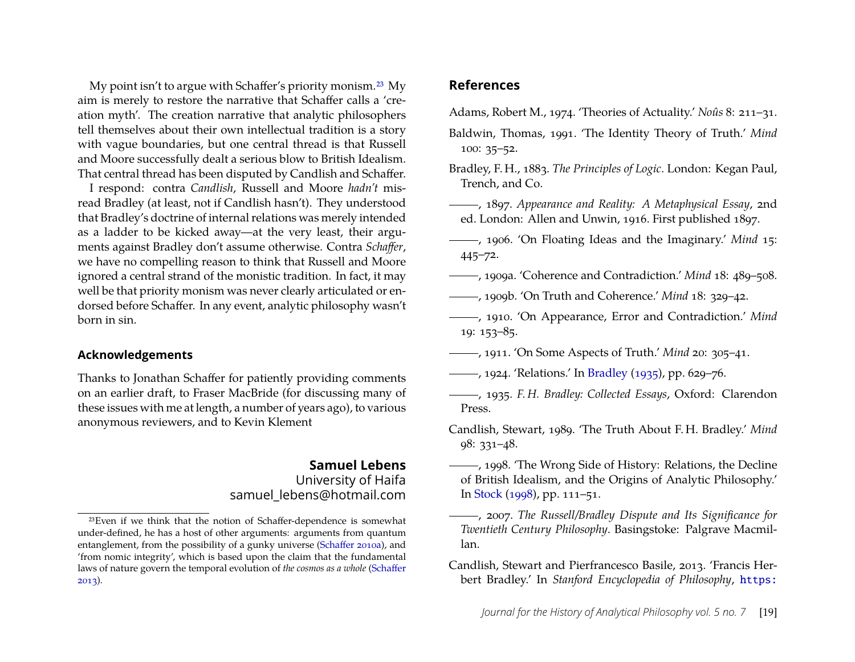My point isn't to argue with Schaffer's priority monism.[23](#page-19-15) My aim is merely to restore the narrative that Schaffer calls a 'creation myth'. The creation narrative that analytic philosophers tell themselves about their own intellectual tradition is a story with vague boundaries, but one central thread is that Russell and Moore successfully dealt a serious blow to British Idealism. That central thread has been disputed by Candlish and Schaffer.

I respond: contra *Candlish*, Russell and Moore *hadn't* misread Bradley (at least, not if Candlish hasn't). They understood that Bradley's doctrine of internal relations was merely intended as a ladder to be kicked away—at the very least, their arguments against Bradley don't assume otherwise. Contra *Schaffer*, we have no compelling reason to think that Russell and Moore ignored a central strand of the monistic tradition. In fact, it may well be that priority monism was never clearly articulated or endorsed before Schaffer. In any event, analytic philosophy wasn't born in sin.

#### **Acknowledgements**

Thanks to Jonathan Schaffer for patiently providing comments on an earlier draft, to Fraser MacBride (for discussing many of these issues with me at length, a number of years ago), to various anonymous reviewers, and to Kevin Klement

#### **Samuel Lebens** University of Haifa samuel\_lebens@hotmail.com

### **References**

- <span id="page-19-10"></span>Adams, Robert M., 1974. 'Theories of Actuality.' *Noûs* 8: 211–31.
- <span id="page-19-12"></span>Baldwin, Thomas, 1991. 'The Identity Theory of Truth.' *Mind* 100: 35–52.
- <span id="page-19-4"></span>Bradley, F. H., 1883. *The Principles of Logic*. London: Kegan Paul, Trench, and Co.
- <span id="page-19-0"></span>, 1897. *Appearance and Reality: A Metaphysical Essay*, 2nd ed. London: Allen and Unwin, 1916. First published 1897.
- <span id="page-19-3"></span>, 1906. 'On Floating Ideas and the Imaginary.' *Mind* 15: 445–72.
- <span id="page-19-7"></span>, 1909a. 'Coherence and Contradiction.' *Mind* 18: 489–508.
- <span id="page-19-9"></span>, 1909b. 'On Truth and Coherence.' *Mind* 18: 329–42.
- <span id="page-19-1"></span>, 1910. 'On Appearance, Error and Contradiction.' *Mind* 19: 153–85.
- <span id="page-19-6"></span>, 1911. 'On Some Aspects of Truth.' *Mind* 20: 305–41.
- <span id="page-19-8"></span>, 1924. 'Relations.' In [Bradley](#page-19-2) [\(1935\)](#page-19-2), pp. 629–76.
- <span id="page-19-2"></span>, 1935. *F. H. Bradley: Collected Essays*, Oxford: Clarendon Press.
- <span id="page-19-13"></span>Candlish, Stewart, 1989. 'The Truth About F. H. Bradley.' *Mind* 98: 331–48.
- <span id="page-19-14"></span>, 1998. 'The Wrong Side of History: Relations, the Decline of British Idealism, and the Origins of Analytic Philosophy.' In [Stock](#page-20-24) [\(1998\)](#page-20-24), pp. 111–51.
- <span id="page-19-5"></span>, 2007. *The Russell/Bradley Dispute and Its Significance for Twentieth Century Philosophy*. Basingstoke: Palgrave Macmillan.
- <span id="page-19-11"></span>Candlish, Stewart and Pierfrancesco Basile, 2013. 'Francis Herbert Bradley.' In *Stanford Encyclopedia of Philosophy*, [https:](https://plato.stanford.edu/entries/bradley/)

<span id="page-19-15"></span><sup>23</sup>Even if we think that the notion of Schaffer-dependence is somewhat under-defined, he has a host of other arguments: arguments from quantum entanglement, from the possibility of a gunky universe [\(Schaffer 2010a\)](#page-20-11), and 'from nomic integrity', which is based upon the claim that the fundamental laws of nature govern the temporal evolution of *the cosmos as a whole* [\(Schaffer](#page-20-23) [2013\)](#page-20-23).